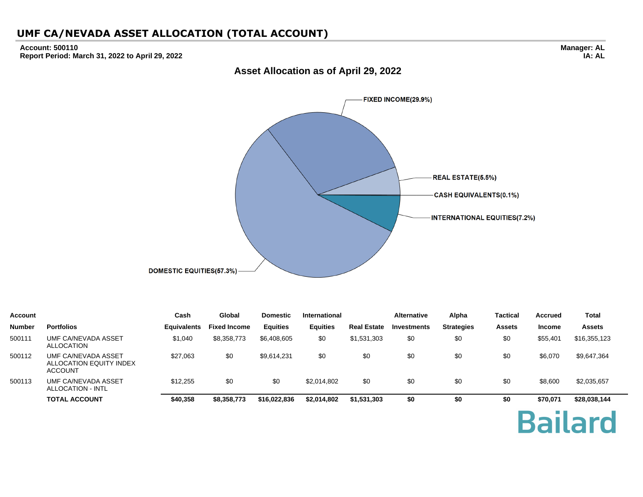#### **Account: 500110 Report Period: March 31, 2022 to April 29, 2022**

**Manager: AL IA: AL**



**Asset Allocation as of April 29, 2022**

| <b>Account</b> |                                                                  | Cash               | Global              | <b>Domestic</b> | <b>International</b> |                    | <b>Alternative</b> | Alpha             | <b>Tactical</b> | <b>Accrued</b> | Total          |
|----------------|------------------------------------------------------------------|--------------------|---------------------|-----------------|----------------------|--------------------|--------------------|-------------------|-----------------|----------------|----------------|
| <b>Number</b>  | <b>Portfolios</b>                                                | <b>Equivalents</b> | <b>Fixed Income</b> | <b>Equities</b> | <b>Equities</b>      | <b>Real Estate</b> | Investments        | <b>Strategies</b> | <b>Assets</b>   | <b>Income</b>  | <b>Assets</b>  |
| 500111         | UMF CA/NEVADA ASSET<br><b>ALLOCATION</b>                         | \$1,040            | \$8,358,773         | \$6,408,605     | \$0                  | \$1,531,303        | \$0                | \$0               | \$0             | \$55,401       | \$16,355,123   |
| 500112         | UMF CA/NEVADA ASSET<br>ALLOCATION EQUITY INDEX<br><b>ACCOUNT</b> | \$27,063           | \$0                 | \$9,614,231     | \$0                  | \$0                | \$0                | \$0               | \$0             | \$6,070        | \$9,647,364    |
| 500113         | UMF CA/NEVADA ASSET<br>ALLOCATION - INTL                         | \$12,255           | \$0                 | \$0             | \$2,014,802          | \$0                | \$0                | \$0               | \$0             | \$8,600        | \$2,035,657    |
|                | <b>TOTAL ACCOUNT</b>                                             | \$40,358           | \$8,358,773         | \$16,022,836    | \$2,014,802          | \$1,531,303        | \$0                | \$0               | \$0             | \$70,071       | \$28,038,144   |
|                |                                                                  |                    |                     |                 |                      |                    |                    |                   |                 |                | <b>Bailard</b> |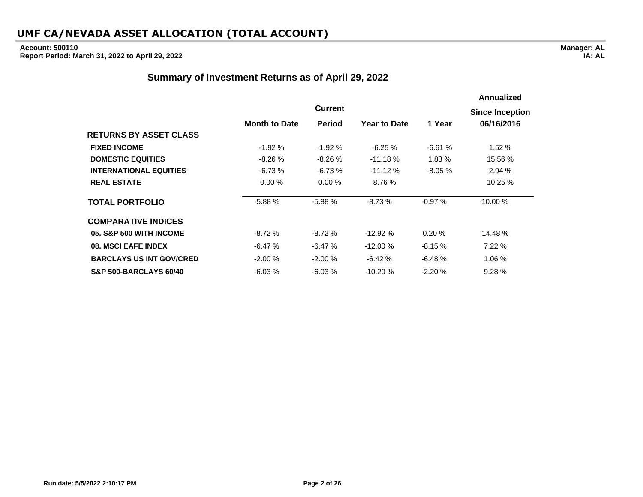# **Account: 500110**

**Report Period: March 31, 2022 to April 29, 2022**

### **Summary of Investment Returns as of April 29, 2022**

|                                   |                      |                |                     |          | <b>Annualized</b>      |
|-----------------------------------|----------------------|----------------|---------------------|----------|------------------------|
|                                   |                      | <b>Current</b> |                     |          | <b>Since Inception</b> |
|                                   | <b>Month to Date</b> | Period         | <b>Year to Date</b> | 1 Year   | 06/16/2016             |
| <b>RETURNS BY ASSET CLASS</b>     |                      |                |                     |          |                        |
| <b>FIXED INCOME</b>               | $-1.92%$             | $-1.92%$       | $-6.25 \%$          | $-6.61%$ | 1.52%                  |
| <b>DOMESTIC EQUITIES</b>          | $-8.26%$             | $-8.26%$       | $-11.18%$           | 1.83%    | 15.56 %                |
| <b>INTERNATIONAL EQUITIES</b>     | $-6.73%$             | $-6.73%$       | $-11.12%$           | $-8.05%$ | 2.94%                  |
| <b>REAL ESTATE</b>                | 0.00%                | 0.00%          | 8.76 %              |          | 10.25 %                |
| <b>TOTAL PORTFOLIO</b>            | $-5.88%$             | $-5.88%$       | $-8.73%$            | $-0.97%$ | 10.00 %                |
| <b>COMPARATIVE INDICES</b>        |                      |                |                     |          |                        |
| 05. S&P 500 WITH INCOME           | -8.72 %              | $-8.72%$       | $-12.92%$           | 0.20%    | 14.48 %                |
| 08. MSCI EAFE INDEX               | $-6.47%$             | $-6.47%$       | $-12.00%$           | $-8.15%$ | 7.22%                  |
| <b>BARCLAYS US INT GOV/CRED</b>   | $-2.00%$             | $-2.00%$       | $-6.42%$            | $-6.48%$ | 1.06%                  |
| <b>S&amp;P 500-BARCLAYS 60/40</b> | $-6.03%$             | $-6.03%$       | $-10.20%$           | $-2.20%$ | 9.28%                  |

**IA: AL**

**Manager: AL**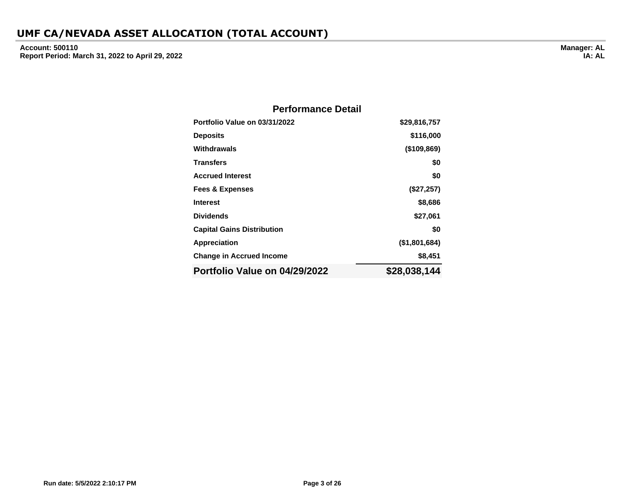**Account: 500110 Report Period: March 31, 2022 to April 29, 2022**

| <b>Performance Detail</b>         |               |
|-----------------------------------|---------------|
| Portfolio Value on 03/31/2022     | \$29,816,757  |
| <b>Deposits</b>                   | \$116,000     |
| Withdrawals                       | (\$109,869)   |
| <b>Transfers</b>                  | \$0           |
| <b>Accrued Interest</b>           | \$0           |
| <b>Fees &amp; Expenses</b>        | (\$27,257)    |
| <b>Interest</b>                   | \$8,686       |
| <b>Dividends</b>                  | \$27,061      |
| <b>Capital Gains Distribution</b> | \$0           |
| <b>Appreciation</b>               | (\$1,801,684) |
| <b>Change in Accrued Income</b>   | \$8,451       |
| Portfolio Value on 04/29/2022     | \$28,038,144  |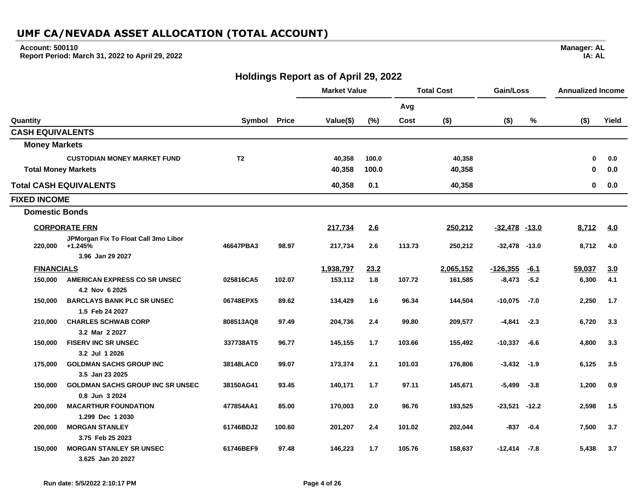#### **Account: 500110**

**Report Period: March 31, 2022 to April 29, 2022**

### **Holdings Report as of April 29, 2022**

|                            |                                                      |                |              | <b>Market Value</b> |       | <b>Total Cost</b> |           | Gain/Loss         |         | <b>Annualized Income</b> |       |
|----------------------------|------------------------------------------------------|----------------|--------------|---------------------|-------|-------------------|-----------|-------------------|---------|--------------------------|-------|
|                            |                                                      |                |              |                     |       | Avg               |           |                   |         |                          |       |
| Quantity                   |                                                      | Symbol         | <b>Price</b> | Value(\$)           | (%)   | Cost              | $($ \$)   | $($ \$)           | %       | $($ \$)                  | Yield |
| <b>CASH EQUIVALENTS</b>    |                                                      |                |              |                     |       |                   |           |                   |         |                          |       |
| <b>Money Markets</b>       |                                                      |                |              |                     |       |                   |           |                   |         |                          |       |
|                            | <b>CUSTODIAN MONEY MARKET FUND</b>                   | T <sub>2</sub> |              | 40,358              | 100.0 |                   | 40,358    |                   |         | 0                        | 0.0   |
| <b>Total Money Markets</b> |                                                      |                |              | 40,358              | 100.0 |                   | 40,358    |                   |         | 0                        | 0.0   |
|                            | <b>Total CASH EQUIVALENTS</b>                        |                |              | 40,358              | 0.1   |                   | 40,358    |                   |         | 0                        | 0.0   |
| <b>FIXED INCOME</b>        |                                                      |                |              |                     |       |                   |           |                   |         |                          |       |
| <b>Domestic Bonds</b>      |                                                      |                |              |                     |       |                   |           |                   |         |                          |       |
|                            | <b>CORPORATE FRN</b>                                 |                |              | 217,734             | 2.6   |                   | 250,212   | $-32,478$ $-13.0$ |         | 8,712                    | 4.0   |
| 220,000                    | JPMorgan Fix To Float Call 3mo Libor<br>$+1.245%$    | 46647PBA3      | 98.97        | 217,734             | 2.6   | 113.73            | 250,212   | $-32,478$         | $-13.0$ | 8,712                    | 4.0   |
|                            | 3.96 Jan 29 2027                                     |                |              |                     |       |                   |           |                   |         |                          |       |
| <b>FINANCIALS</b>          |                                                      |                |              | 1,938,797           | 23.2  |                   | 2,065,152 | $-126,355$        | $-6.1$  | 59,037                   | 3.0   |
| 150.000                    | AMERICAN EXPRESS CO SR UNSEC                         | 025816CA5      | 102.07       | 153,112             | 1.8   | 107.72            | 161,585   | $-8,473$          | $-5.2$  | 6,300                    | 4.1   |
|                            | 4.2 Nov 6 2025                                       |                |              |                     |       |                   |           |                   |         |                          |       |
| 150,000                    | <b>BARCLAYS BANK PLC SR UNSEC</b><br>1.5 Feb 24 2027 | 06748EPX5      | 89.62        | 134,429             | 1.6   | 96.34             | 144,504   | $-10,075$         | $-7.0$  | 2,250                    | 1.7   |
| 210,000                    | <b>CHARLES SCHWAB CORP</b>                           | 808513AQ8      | 97.49        | 204,736             | 2.4   | 99.80             | 209,577   | -4,841            | $-2.3$  | 6,720                    | 3.3   |
|                            | 3.2 Mar 2 2027                                       |                |              |                     |       |                   |           |                   |         |                          |       |
| 150,000                    | <b>FISERV INC SR UNSEC</b>                           | 337738AT5      | 96.77        | 145,155             | 1.7   | 103.66            | 155,492   | -10,337           | $-6.6$  | 4,800                    | 3.3   |
|                            | 3.2 Jul 1 2026                                       |                |              |                     |       |                   |           |                   |         |                          |       |
| 175,000                    | <b>GOLDMAN SACHS GROUP INC</b>                       | 38148LAC0      | 99.07        | 173,374             | 2.1   | 101.03            | 176,806   | $-3,432 -1.9$     |         | 6,125                    | 3.5   |
|                            | 3.5 Jan 23 2025                                      |                |              |                     |       |                   |           |                   |         |                          |       |
| 150,000                    | <b>GOLDMAN SACHS GROUP INC SR UNSEC</b>              | 38150AG41      | 93.45        | 140,171             | 1.7   | 97.11             | 145,671   | -5,499            | $-3.8$  | 1,200                    | 0.9   |
|                            | 0.8 Jun 3 2024                                       |                |              |                     |       |                   |           |                   |         |                          |       |
| 200,000                    | <b>MACARTHUR FOUNDATION</b>                          | 477854AA1      | 85.00        | 170,003             | 2.0   | 96.76             | 193,525   | -23,521           | $-12.2$ | 2,598                    | 1.5   |
|                            | 1.299 Dec 1 2030                                     |                |              |                     |       |                   |           |                   |         |                          |       |
| 200,000                    | <b>MORGAN STANLEY</b><br>3.75 Feb 25 2023            | 61746BDJ2      | 100.60       | 201,207             | 2.4   | 101.02            | 202,044   | -837              | $-0.4$  | 7,500                    | 3.7   |
| 150,000                    | <b>MORGAN STANLEY SR UNSEC</b>                       | 61746BEF9      | 97.48        | 146,223             | 1.7   | 105.76            | 158,637   | -12,414 -7.8      |         | 5,438                    | 3.7   |
|                            | 3.625 Jan 20 2027                                    |                |              |                     |       |                   |           |                   |         |                          |       |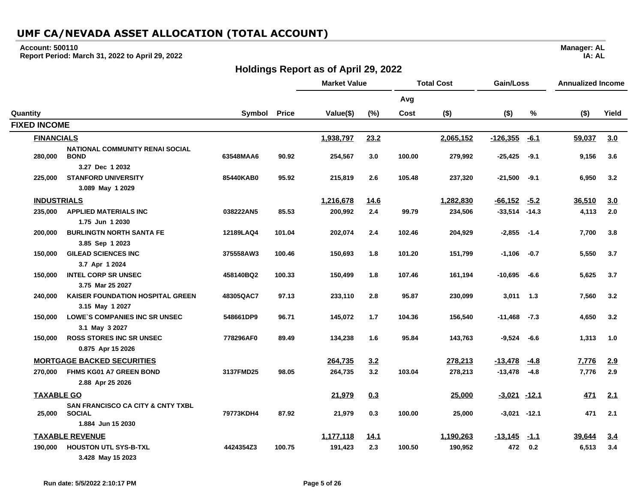### **Account: 500110**

**Report Period: March 31, 2022 to April 29, 2022**

## **Holdings Report as of April 29, 2022**

|                     |                                                               |           |              | <b>Market Value</b> |             | <b>Total Cost</b> |           | Gain/Loss         |        | <b>Annualized Income</b> |       |
|---------------------|---------------------------------------------------------------|-----------|--------------|---------------------|-------------|-------------------|-----------|-------------------|--------|--------------------------|-------|
|                     |                                                               |           |              |                     |             | Avg               |           |                   |        |                          |       |
| Quantity            |                                                               | Symbol    | <b>Price</b> | Value(\$)           | (%)         | Cost              | $($ \$)   | $($ \$)           | %      | $($ \$)                  | Yield |
| <b>FIXED INCOME</b> |                                                               |           |              |                     |             |                   |           |                   |        |                          |       |
| <b>FINANCIALS</b>   |                                                               |           |              | 1,938,797           | 23.2        |                   | 2,065,152 | $-126,355$        | $-6.1$ | 59,037                   | 3.0   |
| 280,000             | <b>NATIONAL COMMUNITY RENAI SOCIAL</b><br><b>BOND</b>         | 63548MAA6 | 90.92        | 254,567             | 3.0         | 100.00            | 279,992   | $-25,425$         | $-9.1$ | 9,156                    | 3.6   |
|                     | 3.27 Dec 1 2032                                               |           |              |                     |             |                   |           |                   |        |                          |       |
| 225,000             | <b>STANFORD UNIVERSITY</b><br>3.089 May 1 2029                | 85440KAB0 | 95.92        | 215,819             | 2.6         | 105.48            | 237,320   | $-21,500$         | $-9.1$ | 6,950                    | 3.2   |
| <b>INDUSTRIALS</b>  |                                                               |           |              | 1,216,678           | <u>14.6</u> |                   | 1,282,830 | $-66,152$         | $-5.2$ | 36,510                   | 3.0   |
| 235,000             | <b>APPLIED MATERIALS INC</b><br>1.75 Jun 1 2030               | 038222AN5 | 85.53        | 200,992             | 2.4         | 99.79             | 234,506   | $-33,514$ $-14.3$ |        | 4,113                    | 2.0   |
| 200,000             | <b>BURLINGTN NORTH SANTA FE</b><br>3.85 Sep 1 2023            | 12189LAQ4 | 101.04       | 202,074             | 2.4         | 102.46            | 204,929   | $-2,855$          | $-1.4$ | 7,700                    | 3.8   |
| 150,000             | <b>GILEAD SCIENCES INC</b><br>3.7 Apr 1 2024                  | 375558AW3 | 100.46       | 150,693             | 1.8         | 101.20            | 151,799   | $-1,106$          | $-0.7$ | 5,550                    | 3.7   |
| 150,000             | <b>INTEL CORP SR UNSEC</b><br>3.75 Mar 25 2027                | 458140BQ2 | 100.33       | 150,499             | 1.8         | 107.46            | 161,194   | $-10,695$         | $-6.6$ | 5,625                    | 3.7   |
| 240,000             | <b>KAISER FOUNDATION HOSPITAL GREEN</b><br>3.15 May 1 2027    | 48305QAC7 | 97.13        | 233,110             | 2.8         | 95.87             | 230,099   | 3,011             | 1.3    | 7,560                    | 3.2   |
| 150.000             | LOWE'S COMPANIES INC SR UNSEC<br>3.1 May 3 2027               | 548661DP9 | 96.71        | 145,072             | 1.7         | 104.36            | 156,540   | $-11,468$         | $-7.3$ | 4,650                    | 3.2   |
| 150,000             | <b>ROSS STORES INC SR UNSEC</b><br>0.875 Apr 15 2026          | 778296AF0 | 89.49        | 134,238             | 1.6         | 95.84             | 143,763   | -9,524            | -6.6   | 1,313                    | 1.0   |
|                     | <b>MORTGAGE BACKED SECURITIES</b>                             |           |              | 264,735             | 3.2         |                   | 278,213   | $-13,478$         | -4.8   | 7,776                    | 2.9   |
| 270,000             | <b>FHMS KG01 A7 GREEN BOND</b>                                | 3137FMD25 | 98.05        | 264,735             | 3.2         | 103.04            | 278,213   | $-13,478$         | $-4.8$ | 7,776                    | 2.9   |
|                     | 2.88 Apr 25 2026                                              |           |              |                     |             |                   |           |                   |        |                          |       |
| <b>TAXABLE GO</b>   |                                                               |           |              | 21,979              | 0.3         |                   | 25,000    | $-3.021$ $-12.1$  |        | 471                      | 2.1   |
| 25,000              | <b>SAN FRANCISCO CA CITY &amp; CNTY TXBL</b><br><b>SOCIAL</b> | 79773KDH4 | 87.92        | 21,979              | 0.3         | 100.00            | 25,000    | $-3,021 -12.1$    |        | 471                      | 2.1   |
|                     | 1.884 Jun 15 2030                                             |           |              |                     |             |                   |           |                   |        |                          |       |
|                     | <b>TAXABLE REVENUE</b>                                        |           |              | 1,177,118           | <u>14.1</u> |                   | 1,190,263 | $-13,145$         | $-1.1$ | 39,644                   | 3.4   |
| 190,000             | <b>HOUSTON UTL SYS-B-TXL</b><br>3.428 May 15 2023             | 4424354Z3 | 100.75       | 191,423             | 2.3         | 100.50            | 190,952   | 472               | 0.2    | 6,513                    | 3.4   |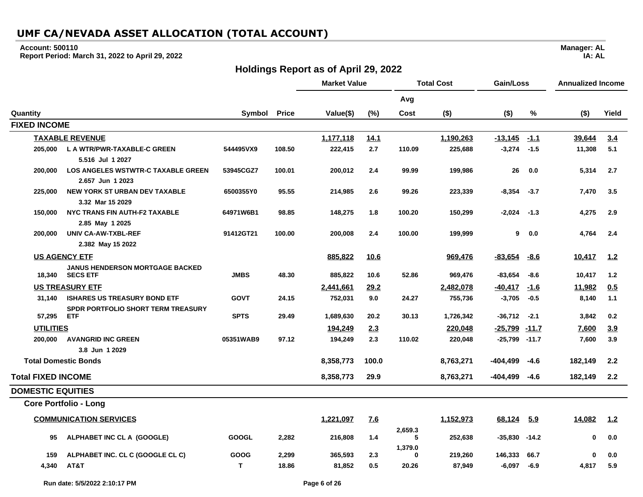#### **Account: 500110**

**Report Period: March 31, 2022 to April 29, 2022**

## **Holdings Report as of April 29, 2022**

|                           |                                                           |              |                | <b>Market Value</b> |            | <b>Total Cost</b>   |                    | Gain/Loss                    |                | <b>Annualized Income</b> |            |
|---------------------------|-----------------------------------------------------------|--------------|----------------|---------------------|------------|---------------------|--------------------|------------------------------|----------------|--------------------------|------------|
|                           |                                                           |              |                |                     |            | Avg                 |                    |                              |                |                          |            |
| Quantity                  |                                                           | Symbol       | <b>Price</b>   | Value(\$)           | (%)        | Cost                | $($ \$)            | $($ \$)                      | %              | $($ \$)                  | Yield      |
| <b>FIXED INCOME</b>       |                                                           |              |                |                     |            |                     |                    |                              |                |                          |            |
|                           | <b>TAXABLE REVENUE</b>                                    |              |                | 1,177,118           | 14.1       |                     | 1,190,263          | $-13,145$                    | $-1.1$         | 39,644                   | 3.4        |
| 205.000                   | L A WTR/PWR-TAXABLE-C GREEN                               | 544495VX9    | 108.50         | 222,415             | 2.7        | 110.09              | 225,688            | $-3,274$                     | $-1.5$         | 11,308                   | 5.1        |
|                           | 5.516 Jul 1 2027                                          |              |                |                     |            |                     |                    |                              |                |                          |            |
| 200.000                   | <b>LOS ANGELES WSTWTR-C TAXABLE GREEN</b>                 | 53945CGZ7    | 100.01         | 200,012             | 2.4        | 99.99               | 199,986            | 26                           | 0.0            | 5,314                    | 2.7        |
|                           | 2.657 Jun 1 2023                                          |              |                |                     |            |                     |                    |                              |                |                          |            |
| 225,000                   | <b>NEW YORK ST URBAN DEV TAXABLE</b>                      | 6500355Y0    | 95.55          | 214,985             | 2.6        | 99.26               | 223,339            | $-8,354$                     | $-3.7$         | 7,470                    | 3.5        |
|                           | 3.32 Mar 15 2029                                          |              |                |                     |            |                     |                    |                              |                |                          |            |
| 150,000                   | NYC TRANS FIN AUTH-F2 TAXABLE                             | 64971W6B1    | 98.85          | 148,275             | 1.8        | 100.20              | 150,299            | $-2,024$                     | $-1.3$         | 4,275                    | 2.9        |
|                           | 2.85 May 1 2025                                           |              |                |                     |            |                     |                    |                              |                |                          |            |
| 200,000                   | UNIV CA-AW-TXBL-REF                                       | 91412GT21    | 100.00         | 200,008             | 2.4        | 100.00              | 199,999            | 9                            | 0.0            | 4,764                    | 2.4        |
|                           | 2.382 May 15 2022                                         |              |                |                     |            |                     |                    |                              |                |                          |            |
|                           | <b>US AGENCY ETF</b>                                      |              |                | 885,822             | 10.6       |                     | 969,476            | -83,654                      | <u>-8.6</u>    | 10,417                   | <u>1.2</u> |
| 18,340                    | <b>JANUS HENDERSON MORTGAGE BACKED</b><br><b>SECS ETF</b> | <b>JMBS</b>  | 48.30          | 885.822             | 10.6       | 52.86               | 969,476            | $-83,654$                    | $-8.6$         | 10,417                   | 1.2        |
|                           | <b>US TREASURY ETF</b>                                    |              |                | 2.441.661           | 29.2       |                     | 2,482,078          | $-40,417$                    | $-1.6$         | 11,982                   | 0.5        |
| 31.140                    | <b>ISHARES US TREASURY BOND ETF</b>                       | <b>GOVT</b>  | 24.15          | 752,031             | 9.0        | 24.27               | 755,736            | $-3,705$                     | $-0.5$         | 8,140                    | 1.1        |
| 57,295                    | <b>SPDR PORTFOLIO SHORT TERM TREASURY</b><br><b>ETF</b>   | <b>SPTS</b>  | 29.49          | 1,689,630           | 20.2       | 30.13               | 1,726,342          | $-36,712$                    | $-2.1$         | 3,842                    | 0.2        |
| <b>UTILITIES</b>          |                                                           |              |                |                     |            |                     |                    |                              |                |                          |            |
| 200.000                   | <b>AVANGRID INC GREEN</b>                                 | 05351WAB9    | 97.12          | 194,249<br>194,249  | 2.3<br>2.3 | 110.02              | 220,048<br>220,048 | -25,799<br>$-25,799$ $-11.7$ | $-11.7$        | 7,600<br>7,600           | 3.9<br>3.9 |
|                           | 3.8 Jun 1 2029                                            |              |                |                     |            |                     |                    |                              |                |                          |            |
|                           | <b>Total Domestic Bonds</b>                               |              |                | 8,358,773           | 100.0      |                     | 8,763,271          | $-404,499$                   | -4.6           | 182,149                  | 2.2        |
| <b>Total FIXED INCOME</b> |                                                           |              |                | 8,358,773           | 29.9       |                     | 8,763,271          | $-404,499$                   | $-4.6$         | 182,149                  | 2.2        |
| <b>DOMESTIC EQUITIES</b>  |                                                           |              |                |                     |            |                     |                    |                              |                |                          |            |
|                           | <b>Core Portfolio - Long</b>                              |              |                |                     |            |                     |                    |                              |                |                          |            |
|                           | <b>COMMUNICATION SERVICES</b>                             |              |                | 1,221,097           | Z.6        |                     | 1,152,973          | 68,124                       | <u>5.9</u>     | 14,082                   | 1.2        |
| 95                        | ALPHABET INC CL A (GOOGLE)                                | <b>GOOGL</b> | 2,282          | 216,808             | 1.4        | 2,659.3<br>5        | 252,638            | $-35,830$                    | $-14.2$        | 0                        | 0.0        |
|                           |                                                           |              |                |                     |            | 1,379.0<br>$\bf{0}$ |                    |                              |                | $\bf{0}$                 |            |
| 159                       | ALPHABET INC. CL C (GOOGLE CL C)<br>AT&T                  | GOOG<br>T.   | 2,299<br>18.86 | 365,593<br>81,852   | 2.3<br>0.5 | 20.26               | 219,260            | 146,333                      | 66.7<br>$-6.9$ |                          | 0.0<br>5.9 |
| 4,340                     |                                                           |              |                |                     |            |                     | 87,949             | $-6,097$                     |                | 4,817                    |            |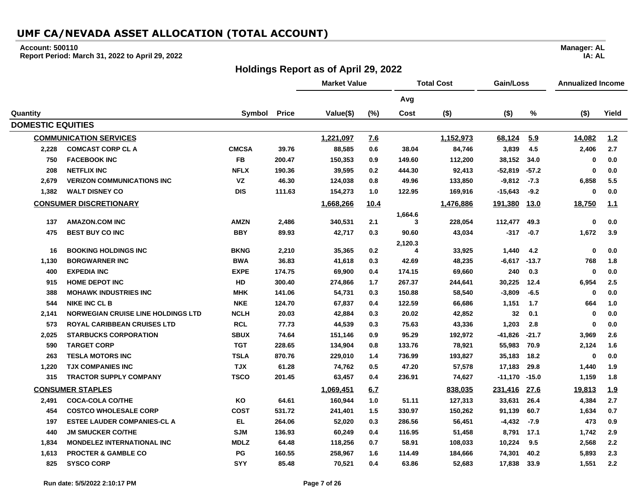### **Account: 500110**

**Report Period: March 31, 2022 to April 29, 2022**

## **Holdings Report as of April 29, 2022**

|                          |                                           |              |              | <b>Market Value</b> |      | <b>Total Cost</b> |           | Gain/Loss |             | <b>Annualized Income</b> |       |
|--------------------------|-------------------------------------------|--------------|--------------|---------------------|------|-------------------|-----------|-----------|-------------|--------------------------|-------|
|                          |                                           |              |              |                     |      | Avg               |           |           |             |                          |       |
| Quantity                 |                                           | Symbol       | <b>Price</b> | Value(\$)           | (%)  | Cost              | $($ \$)   | $($ \$)   | $\%$        | $($ \$)                  | Yield |
| <b>DOMESTIC EQUITIES</b> |                                           |              |              |                     |      |                   |           |           |             |                          |       |
|                          | <b>COMMUNICATION SERVICES</b>             |              |              | 1,221,097           | Z.6  |                   | 1,152,973 | 68,124    | 5.9         | 14,082                   | 1.2   |
| 2,228                    | <b>COMCAST CORP CL A</b>                  | <b>CMCSA</b> | 39.76        | 88,585              | 0.6  | 38.04             | 84,746    | 3,839     | 4.5         | 2,406                    | 2.7   |
| 750                      | <b>FACEBOOK INC</b>                       | <b>FB</b>    | 200.47       | 150,353             | 0.9  | 149.60            | 112,200   | 38,152    | 34.0        | 0                        | 0.0   |
| 208                      | <b>NETFLIX INC</b>                        | <b>NFLX</b>  | 190.36       | 39,595              | 0.2  | 444.30            | 92,413    | $-52,819$ | $-57.2$     | $\mathbf 0$              | 0.0   |
| 2,679                    | <b>VERIZON COMMUNICATIONS INC</b>         | <b>VZ</b>    | 46.30        | 124,038             | 0.8  | 49.96             | 133,850   | $-9,812$  | $-7.3$      | 6,858                    | 5.5   |
| 1,382                    | <b>WALT DISNEY CO</b>                     | <b>DIS</b>   | 111.63       | 154,273             | 1.0  | 122.95            | 169,916   | $-15,643$ | $-9.2$      | $\mathbf 0$              | 0.0   |
|                          | <b>CONSUMER DISCRETIONARY</b>             |              |              | 1,668,266           | 10.4 |                   | 1,476,886 | 191,380   | <u>13.0</u> | 18,750                   | 1.1   |
|                          |                                           |              |              |                     |      | 1,664.6           |           |           |             |                          |       |
| 137                      | <b>AMAZON.COM INC</b>                     | <b>AMZN</b>  | 2,486        | 340,531             | 2.1  | 3                 | 228,054   | 112,477   | 49.3        | $\mathbf 0$              | 0.0   |
| 475                      | <b>BEST BUY CO INC</b>                    | <b>BBY</b>   | 89.93        | 42,717              | 0.3  | 90.60             | 43,034    | $-317$    | $-0.7$      | 1,672                    | 3.9   |
| 16                       | <b>BOOKING HOLDINGS INC</b>               | <b>BKNG</b>  | 2,210        | 35,365              | 0.2  | 2,120.3<br>4      | 33,925    | 1,440     | 4.2         | $\mathbf 0$              | 0.0   |
| 1,130                    | <b>BORGWARNER INC</b>                     | <b>BWA</b>   | 36.83        | 41,618              | 0.3  | 42.69             | 48,235    | $-6,617$  | $-13.7$     | 768                      | 1.8   |
| 400                      | <b>EXPEDIA INC</b>                        | <b>EXPE</b>  | 174.75       | 69,900              | 0.4  | 174.15            | 69,660    | 240       | 0.3         | 0                        | 0.0   |
| 915                      | <b>HOME DEPOT INC</b>                     | HD           | 300.40       | 274,866             | 1.7  | 267.37            | 244,641   | 30,225    | 12.4        | 6,954                    | 2.5   |
| 388                      | <b>MOHAWK INDUSTRIES INC</b>              | <b>MHK</b>   | 141.06       | 54,731              | 0.3  | 150.88            | 58,540    | $-3,809$  | $-6.5$      | $\mathbf 0$              | 0.0   |
| 544                      | <b>NIKE INC CL B</b>                      | <b>NKE</b>   | 124.70       | 67,837              | 0.4  | 122.59            | 66,686    | 1,151     | 1.7         | 664                      | 1.0   |
| 2,141                    | <b>NORWEGIAN CRUISE LINE HOLDINGS LTD</b> | <b>NCLH</b>  | 20.03        | 42,884              | 0.3  | 20.02             | 42,852    | 32        | 0.1         | $\mathbf 0$              | 0.0   |
| 573                      | <b>ROYAL CARIBBEAN CRUISES LTD</b>        | <b>RCL</b>   | 77.73        | 44,539              | 0.3  | 75.63             | 43,336    | 1,203     | 2.8         | 0                        | 0.0   |
| 2,025                    | <b>STARBUCKS CORPORATION</b>              | <b>SBUX</b>  | 74.64        | 151,146             | 0.9  | 95.29             | 192,972   | $-41,826$ | $-21.7$     | 3,969                    | 2.6   |
| 590                      | <b>TARGET CORP</b>                        | <b>TGT</b>   | 228.65       | 134,904             | 0.8  | 133.76            | 78,921    | 55,983    | 70.9        | 2,124                    | 1.6   |
| 263                      | <b>TESLA MOTORS INC</b>                   | <b>TSLA</b>  | 870.76       | 229,010             | 1.4  | 736.99            | 193,827   | 35,183    | 18.2        | $\mathbf{0}$             | 0.0   |
| 1,220                    | <b>TJX COMPANIES INC</b>                  | <b>TJX</b>   | 61.28        | 74,762              | 0.5  | 47.20             | 57,578    | 17,183    | 29.8        | 1,440                    | 1.9   |
| 315                      | <b>TRACTOR SUPPLY COMPANY</b>             | <b>TSCO</b>  | 201.45       | 63,457              | 0.4  | 236.91            | 74,627    | -11,170   | $-15.0$     | 1,159                    | 1.8   |
|                          | <b>CONSUMER STAPLES</b>                   |              |              | 1,069,451           | 6.7  |                   | 838,035   | 231,416   | 27.6        | 19,813                   | 1.9   |
| 2,491                    | <b>COCA-COLA CO/THE</b>                   | KO           | 64.61        | 160,944             | 1.0  | 51.11             | 127,313   | 33,631    | 26.4        | 4,384                    | 2.7   |
| 454                      | <b>COSTCO WHOLESALE CORP</b>              | <b>COST</b>  | 531.72       | 241,401             | 1.5  | 330.97            | 150,262   | 91,139    | 60.7        | 1,634                    | 0.7   |
| 197                      | <b>ESTEE LAUDER COMPANIES-CL A</b>        | EL           | 264.06       | 52,020              | 0.3  | 286.56            | 56,451    | $-4,432$  | $-7.9$      | 473                      | 0.9   |
| 440                      | <b>JM SMUCKER CO/THE</b>                  | <b>SJM</b>   | 136.93       | 60,249              | 0.4  | 116.95            | 51,458    | 8,791     | 17.1        | 1,742                    | 2.9   |
| 1,834                    | <b>MONDELEZ INTERNATIONAL INC</b>         | <b>MDLZ</b>  | 64.48        | 118,256             | 0.7  | 58.91             | 108,033   | 10,224    | 9.5         | 2,568                    | 2.2   |
| 1,613                    | <b>PROCTER &amp; GAMBLE CO</b>            | PG           | 160.55       | 258,967             | 1.6  | 114.49            | 184,666   | 74,301    | 40.2        | 5,893                    | 2.3   |
| 825                      | <b>SYSCO CORP</b>                         | <b>SYY</b>   | 85.48        | 70,521              | 0.4  | 63.86             | 52,683    | 17,838    | 33.9        | 1,551                    | 2.2   |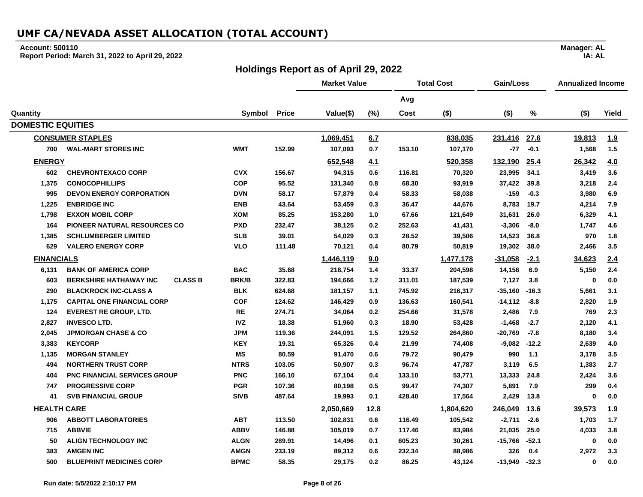### **Account: 500110**

**Report Period: March 31, 2022 to April 29, 2022**

## **Holdings Report as of April 29, 2022**

|                          |                                                 |              |              | <b>Market Value</b> |       | <b>Total Cost</b> |           | Gain/Loss |         | <b>Annualized Income</b> |            |
|--------------------------|-------------------------------------------------|--------------|--------------|---------------------|-------|-------------------|-----------|-----------|---------|--------------------------|------------|
|                          |                                                 |              |              |                     |       | Avg               |           |           |         |                          |            |
| Quantity                 |                                                 | Symbol       | <b>Price</b> | Value(\$)           | (%)   | Cost              | $($ \$)   | $($ \$)   | $\%$    | $($ \$)                  | Yield      |
| <b>DOMESTIC EQUITIES</b> |                                                 |              |              |                     |       |                   |           |           |         |                          |            |
|                          | <b>CONSUMER STAPLES</b>                         |              |              | 1,069,451           | 6.7   |                   | 838,035   | 231,416   | 27.6    | 19,813                   | <u>1.9</u> |
| 700                      | <b>WAL-MART STORES INC</b>                      | <b>WMT</b>   | 152.99       | 107,093             | 0.7   | 153.10            | 107,170   | $-77$     | $-0.1$  | 1,568                    | 1.5        |
| <b>ENERGY</b>            |                                                 |              |              | 652,548             | 4.1   |                   | 520,358   | 132,190   | 25.4    | 26,342                   | 4.0        |
| 602                      | <b>CHEVRONTEXACO CORP</b>                       | <b>CVX</b>   | 156.67       | 94,315              | 0.6   | 116.81            | 70,320    | 23,995    | 34.1    | 3,419                    | 3.6        |
| 1,375                    | <b>CONOCOPHILLIPS</b>                           | <b>COP</b>   | 95.52        | 131,340             | 0.8   | 68.30             | 93,919    | 37,422    | 39.8    | 3,218                    | 2.4        |
| 995                      | <b>DEVON ENERGY CORPORATION</b>                 | <b>DVN</b>   | 58.17        | 57,879              | 0.4   | 58.33             | 58,038    | $-159$    | $-0.3$  | 3,980                    | 6.9        |
| 1,225                    | <b>ENBRIDGE INC</b>                             | <b>ENB</b>   | 43.64        | 53,459              | 0.3   | 36.47             | 44,676    | 8,783     | 19.7    | 4,214                    | 7.9        |
| 1,798                    | <b>EXXON MOBIL CORP</b>                         | <b>XOM</b>   | 85.25        | 153,280             | 1.0   | 67.66             | 121,649   | 31,631    | 26.0    | 6,329                    | 4.1        |
| 164                      | PIONEER NATURAL RESOURCES CO                    | <b>PXD</b>   | 232.47       | 38,125              | 0.2   | 252.63            | 41,431    | $-3,306$  | $-8.0$  | 1,747                    | 4.6        |
| 1,385                    | <b>SCHLUMBERGER LIMITED</b>                     | <b>SLB</b>   | 39.01        | 54,029              | 0.3   | 28.52             | 39,506    | 14,523    | 36.8    | 970                      | 1.8        |
| 629                      | <b>VALERO ENERGY CORP</b>                       | <b>VLO</b>   | 111.48       | 70,121              | 0.4   | 80.79             | 50,819    | 19,302    | 38.0    | 2,466                    | 3.5        |
| <b>FINANCIALS</b>        |                                                 |              |              | 1,446,119           | 9.0   |                   | 1,477,178 | $-31,058$ | $-2.1$  | 34,623                   | 2.4        |
| 6,131                    | <b>BANK OF AMERICA CORP</b>                     | <b>BAC</b>   | 35.68        | 218,754             | 1.4   | 33.37             | 204,598   | 14,156    | 6.9     | 5,150                    | 2.4        |
| 603                      | <b>CLASS B</b><br><b>BERKSHIRE HATHAWAY INC</b> | <b>BRK/B</b> | 322.83       | 194,666             | $1.2$ | 311.01            | 187,539   | 7,127     | 3.8     | 0                        | 0.0        |
| 290                      | <b>BLACKROCK INC-CLASS A</b>                    | <b>BLK</b>   | 624.68       | 181,157             | 1.1   | 745.92            | 216,317   | $-35,160$ | $-16.3$ | 5,661                    | 3.1        |
| 1,175                    | <b>CAPITAL ONE FINANCIAL CORP</b>               | <b>COF</b>   | 124.62       | 146,429             | 0.9   | 136.63            | 160,541   | $-14,112$ | $-8.8$  | 2,820                    | 1.9        |
| 124                      | <b>EVEREST RE GROUP, LTD.</b>                   | <b>RE</b>    | 274.71       | 34,064              | 0.2   | 254.66            | 31,578    | 2,486     | 7.9     | 769                      | 2.3        |
| 2,827                    | <b>INVESCO LTD.</b>                             | <b>IVZ</b>   | 18.38        | 51,960              | 0.3   | 18.90             | 53,428    | $-1,468$  | $-2.7$  | 2,120                    | 4.1        |
| 2,045                    | <b>JPMORGAN CHASE &amp; CO</b>                  | <b>JPM</b>   | 119.36       | 244,091             | 1.5   | 129.52            | 264,860   | $-20,769$ | $-7.8$  | 8,180                    | 3.4        |
| 3,383                    | <b>KEYCORP</b>                                  | <b>KEY</b>   | 19.31        | 65,326              | 0.4   | 21.99             | 74,408    | -9,082    | $-12.2$ | 2,639                    | 4.0        |
| 1,135                    | <b>MORGAN STANLEY</b>                           | <b>MS</b>    | 80.59        | 91,470              | 0.6   | 79.72             | 90,479    | 990       | 1.1     | 3,178                    | 3.5        |
| 494                      | <b>NORTHERN TRUST CORP</b>                      | <b>NTRS</b>  | 103.05       | 50,907              | 0.3   | 96.74             | 47,787    | 3,119     | 6.5     | 1,383                    | 2.7        |
| 404                      | <b>PNC FINANCIAL SERVICES GROUP</b>             | <b>PNC</b>   | 166.10       | 67,104              | 0.4   | 133.10            | 53,771    | 13,333    | 24.8    | 2,424                    | 3.6        |
| 747                      | <b>PROGRESSIVE CORP</b>                         | <b>PGR</b>   | 107.36       | 80,198              | 0.5   | 99.47             | 74,307    | 5,891     | 7.9     | 299                      | 0.4        |
| 41                       | <b>SVB FINANCIAL GROUP</b>                      | <b>SIVB</b>  | 487.64       | 19,993              | 0.1   | 428.40            | 17,564    | 2,429     | 13.8    | $\mathbf 0$              | 0.0        |
| <b>HEALTH CARE</b>       |                                                 |              |              | 2,050,669           | 12.8  |                   | 1,804,620 | 246,049   | 13.6    | 39,573                   | 1.9        |
| 906                      | <b>ABBOTT LABORATORIES</b>                      | <b>ABT</b>   | 113.50       | 102,831             | 0.6   | 116.49            | 105,542   | $-2,711$  | $-2.6$  | 1,703                    | 1.7        |
| 715                      | <b>ABBVIE</b>                                   | <b>ABBV</b>  | 146.88       | 105,019             | 0.7   | 117.46            | 83,984    | 21,035    | 25.0    | 4,033                    | 3.8        |
| 50                       | <b>ALIGN TECHNOLOGY INC</b>                     | <b>ALGN</b>  | 289.91       | 14,496              | 0.1   | 605.23            | 30,261    | $-15,766$ | $-52.1$ | 0                        | 0.0        |
| 383                      | <b>AMGEN INC</b>                                | <b>AMGN</b>  | 233.19       | 89,312              | 0.6   | 232.34            | 88,986    | 326       | 0.4     | 2,972                    | 3.3        |
| 500                      | <b>BLUEPRINT MEDICINES CORP</b>                 | <b>BPMC</b>  | 58.35        | 29,175              | 0.2   | 86.25             | 43,124    | $-13,949$ | $-32.3$ | $\mathbf 0$              | 0.0        |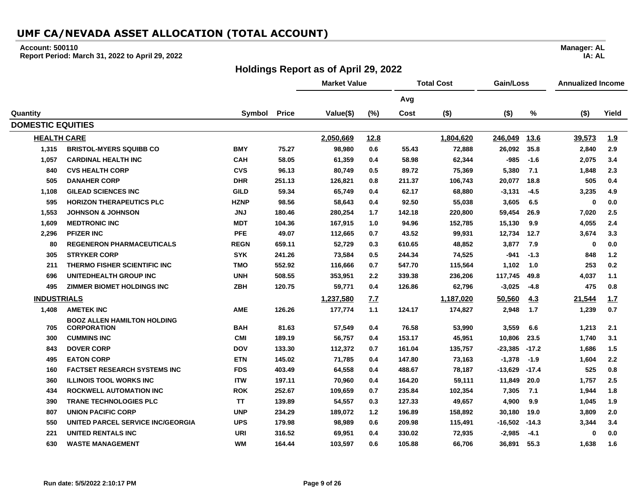### **Account: 500110**

**Report Period: March 31, 2022 to April 29, 2022**

## **Holdings Report as of April 29, 2022**

**Manager: AL**

**IA: AL**

|                          |                                          |             |              | <b>Market Value</b> |      | <b>Total Cost</b> |           | Gain/Loss |             | <b>Annualized Income</b> |            |
|--------------------------|------------------------------------------|-------------|--------------|---------------------|------|-------------------|-----------|-----------|-------------|--------------------------|------------|
|                          |                                          |             |              |                     |      | Avg               |           |           |             |                          |            |
| Quantity                 |                                          | Symbol      | <b>Price</b> | Value(\$)           | (%)  | Cost              | $($ \$)   | $($ \$)   | %           | $($ \$)                  | Yield      |
| <b>DOMESTIC EQUITIES</b> |                                          |             |              |                     |      |                   |           |           |             |                          |            |
| <b>HEALTH CARE</b>       |                                          |             |              | 2,050,669           | 12.8 |                   | 1,804,620 | 246,049   | <u>13.6</u> | 39,573                   | <u>1.9</u> |
| 1,315                    | <b>BRISTOL-MYERS SQUIBB CO</b>           | <b>BMY</b>  | 75.27        | 98,980              | 0.6  | 55.43             | 72,888    | 26,092    | 35.8        | 2,840                    | 2.9        |
| 1,057                    | <b>CARDINAL HEALTH INC</b>               | <b>CAH</b>  | 58.05        | 61,359              | 0.4  | 58.98             | 62,344    | $-985$    | $-1.6$      | 2,075                    | 3.4        |
| 840                      | <b>CVS HEALTH CORP</b>                   | <b>CVS</b>  | 96.13        | 80,749              | 0.5  | 89.72             | 75,369    | 5,380     | 7.1         | 1,848                    | 2.3        |
| 505                      | <b>DANAHER CORP</b>                      | <b>DHR</b>  | 251.13       | 126,821             | 0.8  | 211.37            | 106,743   | 20,077    | 18.8        | 505                      | 0.4        |
| 1,108                    | <b>GILEAD SCIENCES INC</b>               | <b>GILD</b> | 59.34        | 65,749              | 0.4  | 62.17             | 68,880    | $-3,131$  | $-4.5$      | 3,235                    | 4.9        |
| 595                      | <b>HORIZON THERAPEUTICS PLC</b>          | <b>HZNP</b> | 98.56        | 58,643              | 0.4  | 92.50             | 55,038    | 3,605     | 6.5         | $\mathbf{0}$             | 0.0        |
| 1,553                    | <b>JOHNSON &amp; JOHNSON</b>             | <b>JNJ</b>  | 180.46       | 280,254             | 1.7  | 142.18            | 220,800   | 59,454    | 26.9        | 7,020                    | 2.5        |
| 1,609                    | <b>MEDTRONIC INC</b>                     | <b>MDT</b>  | 104.36       | 167,915             | 1.0  | 94.96             | 152,785   | 15,130    | 9.9         | 4,055                    | 2.4        |
| 2,296                    | <b>PFIZER INC</b>                        | <b>PFE</b>  | 49.07        | 112,665             | 0.7  | 43.52             | 99,931    | 12,734    | 12.7        | 3,674                    | 3.3        |
| 80                       | <b>REGENERON PHARMACEUTICALS</b>         | <b>REGN</b> | 659.11       | 52,729              | 0.3  | 610.65            | 48,852    | 3,877     | 7.9         | $\mathbf 0$              | 0.0        |
| 305                      | <b>STRYKER CORP</b>                      | <b>SYK</b>  | 241.26       | 73,584              | 0.5  | 244.34            | 74,525    | -941      | $-1.3$      | 848                      | 1.2        |
| 211                      | <b>THERMO FISHER SCIENTIFIC INC</b>      | TMO         | 552.92       | 116,666             | 0.7  | 547.70            | 115,564   | 1,102     | 1.0         | 253                      | 0.2        |
| 696                      | <b>UNITEDHEALTH GROUP INC</b>            | <b>UNH</b>  | 508.55       | 353,951             | 2.2  | 339.38            | 236,206   | 117,745   | 49.8        | 4,037                    | 1.1        |
| 495                      | <b>ZIMMER BIOMET HOLDINGS INC</b>        | <b>ZBH</b>  | 120.75       | 59,771              | 0.4  | 126.86            | 62,796    | $-3,025$  | $-4.8$      | 475                      | 0.8        |
| <b>INDUSTRIALS</b>       |                                          |             |              | 1,237,580           | 7.7  |                   | 1,187,020 | 50,560    | 4.3         | 21,544                   | 1.7        |
| 1,408                    | <b>AMETEK INC</b>                        | <b>AME</b>  | 126.26       | 177,774             | 1.1  | 124.17            | 174,827   | 2,948     | 1.7         | 1,239                    | 0.7        |
|                          | <b>BOOZ ALLEN HAMILTON HOLDING</b>       |             |              |                     |      |                   |           |           |             |                          |            |
| 705                      | <b>CORPORATION</b>                       | <b>BAH</b>  | 81.63        | 57,549              | 0.4  | 76.58             | 53,990    | 3,559     | 6.6         | 1,213                    | 2.1        |
| 300                      | <b>CUMMINS INC</b>                       | <b>CMI</b>  | 189.19       | 56,757              | 0.4  | 153.17            | 45,951    | 10,806    | 23.5        | 1,740                    | 3.1        |
| 843                      | <b>DOVER CORP</b>                        | <b>DOV</b>  | 133.30       | 112,372             | 0.7  | 161.04            | 135,757   | $-23,385$ | $-17.2$     | 1,686                    | 1.5        |
| 495                      | <b>EATON CORP</b>                        | <b>ETN</b>  | 145.02       | 71,785              | 0.4  | 147.80            | 73,163    | $-1,378$  | $-1.9$      | 1,604                    | 2.2        |
| 160                      | <b>FACTSET RESEARCH SYSTEMS INC</b>      | <b>FDS</b>  | 403.49       | 64,558              | 0.4  | 488.67            | 78,187    | $-13,629$ | $-17.4$     | 525                      | 0.8        |
| 360                      | <b>ILLINOIS TOOL WORKS INC</b>           | <b>ITW</b>  | 197.11       | 70,960              | 0.4  | 164.20            | 59,111    | 11,849    | 20.0        | 1,757                    | 2.5        |
| 434                      | <b>ROCKWELL AUTOMATION INC</b>           | <b>ROK</b>  | 252.67       | 109,659             | 0.7  | 235.84            | 102,354   | 7,305     | 7.1         | 1,944                    | 1.8        |
| 390                      | <b>TRANE TECHNOLOGIES PLC</b>            | <b>TT</b>   | 139.89       | 54,557              | 0.3  | 127.33            | 49,657    | 4,900     | 9.9         | 1,045                    | 1.9        |
| 807                      | <b>UNION PACIFIC CORP</b>                | <b>UNP</b>  | 234.29       | 189,072             | 1.2  | 196.89            | 158,892   | 30,180    | 19.0        | 3,809                    | 2.0        |
| 550                      | <b>UNITED PARCEL SERVICE INC/GEORGIA</b> | <b>UPS</b>  | 179.98       | 98,989              | 0.6  | 209.98            | 115,491   | $-16,502$ | $-14.3$     | 3,344                    | 3.4        |
| 221                      | <b>UNITED RENTALS INC</b>                | <b>URI</b>  | 316.52       | 69,951              | 0.4  | 330.02            | 72,935    | $-2,985$  | $-4.1$      | 0                        | 0.0        |
| 630                      | <b>WASTE MANAGEMENT</b>                  | <b>WM</b>   | 164.44       | 103,597             | 0.6  | 105.88            | 66,706    | 36,891    | 55.3        | 1,638                    | 1.6        |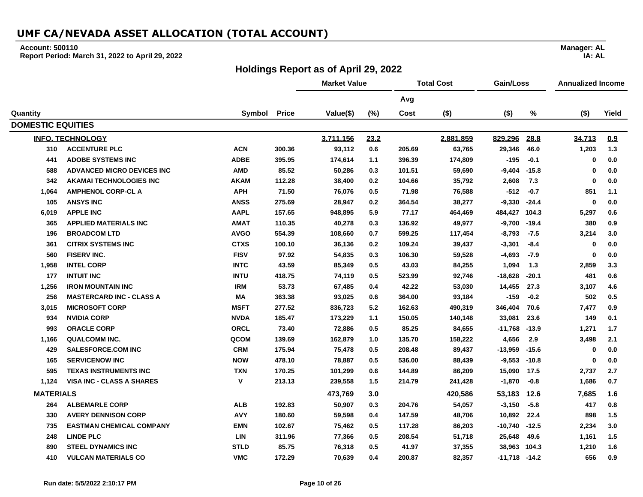### **Account: 500110**

**Report Period: March 31, 2022 to April 29, 2022**

## **Holdings Report as of April 29, 2022**

|                          |                                  |              |              | <b>Market Value</b> |       | <b>Total Cost</b> |           | Gain/Loss     |             | <b>Annualized Income</b> |       |
|--------------------------|----------------------------------|--------------|--------------|---------------------|-------|-------------------|-----------|---------------|-------------|--------------------------|-------|
|                          |                                  |              |              |                     |       | Avg               |           |               |             |                          |       |
| Quantity                 |                                  | Symbol       | <b>Price</b> | Value(\$)           | (%)   | Cost              | $($ \$)   | $($ \$)       | %           | $($ \$)                  | Yield |
| <b>DOMESTIC EQUITIES</b> |                                  |              |              |                     |       |                   |           |               |             |                          |       |
|                          | <b>INFO. TECHNOLOGY</b>          |              |              | 3,711,156           | 23.2  |                   | 2,881,859 | 829,296       | 28.8        | 34,713                   | 0.9   |
| 310                      | <b>ACCENTURE PLC</b>             | <b>ACN</b>   | 300.36       | 93,112              | 0.6   | 205.69            | 63,765    | 29,346        | 46.0        | 1,203                    | 1.3   |
| 441                      | <b>ADOBE SYSTEMS INC</b>         | <b>ADBE</b>  | 395.95       | 174,614             | 1.1   | 396.39            | 174,809   | -195          | $-0.1$      | 0                        | 0.0   |
| 588                      | ADVANCED MICRO DEVICES INC       | <b>AMD</b>   | 85.52        | 50,286              | 0.3   | 101.51            | 59,690    | $-9,404$      | $-15.8$     | $\mathbf 0$              | 0.0   |
| 342                      | <b>AKAMAI TECHNOLOGIES INC</b>   | <b>AKAM</b>  | 112.28       | 38,400              | 0.2   | 104.66            | 35,792    | 2,608         | 7.3         | 0                        | 0.0   |
| 1,064                    | <b>AMPHENOL CORP-CL A</b>        | <b>APH</b>   | 71.50        | 76,076              | 0.5   | 71.98             | 76,588    | $-512$        | $-0.7$      | 851                      | 1.1   |
| 105                      | <b>ANSYS INC</b>                 | <b>ANSS</b>  | 275.69       | 28,947              | 0.2   | 364.54            | 38,277    | $-9,330$      | $-24.4$     | $\mathbf 0$              | 0.0   |
| 6,019                    | <b>APPLE INC</b>                 | <b>AAPL</b>  | 157.65       | 948,895             | 5.9   | 77.17             | 464,469   | 484,427       | 104.3       | 5,297                    | 0.6   |
| 365                      | <b>APPLIED MATERIALS INC</b>     | <b>AMAT</b>  | 110.35       | 40,278              | 0.3   | 136.92            | 49,977    | $-9,700$      | $-19.4$     | 380                      | 0.9   |
| 196                      | <b>BROADCOM LTD</b>              | <b>AVGO</b>  | 554.39       | 108,660             | 0.7   | 599.25            | 117,454   | $-8,793$      | $-7.5$      | 3,214                    | 3.0   |
| 361                      | <b>CITRIX SYSTEMS INC</b>        | <b>CTXS</b>  | 100.10       | 36,136              | 0.2   | 109.24            | 39,437    | $-3,301$      | $-8.4$      | 0                        | 0.0   |
| 560                      | <b>FISERV INC.</b>               | <b>FISV</b>  | 97.92        | 54,835              | 0.3   | 106.30            | 59,528    | $-4,693$      | $-7.9$      | $\mathbf 0$              | 0.0   |
| 1,958                    | <b>INTEL CORP</b>                | <b>INTC</b>  | 43.59        | 85,349              | 0.5   | 43.03             | 84,255    | 1,094         | 1.3         | 2,859                    | 3.3   |
| 177                      | <b>INTUIT INC</b>                | <b>INTU</b>  | 418.75       | 74,119              | 0.5   | 523.99            | 92,746    | $-18,628$     | $-20.1$     | 481                      | 0.6   |
| 1,256                    | <b>IRON MOUNTAIN INC</b>         | <b>IRM</b>   | 53.73        | 67,485              | 0.4   | 42.22             | 53,030    | 14,455        | 27.3        | 3,107                    | 4.6   |
| 256                      | <b>MASTERCARD INC - CLASS A</b>  | МA           | 363.38       | 93,025              | 0.6   | 364.00            | 93,184    | $-159$        | $-0.2$      | 502                      | 0.5   |
| 3,015                    | <b>MICROSOFT CORP</b>            | <b>MSFT</b>  | 277.52       | 836,723             | 5.2   | 162.63            | 490,319   | 346,404       | 70.6        | 7,477                    | 0.9   |
| 934                      | <b>NVIDIA CORP</b>               | <b>NVDA</b>  | 185.47       | 173,229             | 1.1   | 150.05            | 140,148   | 33,081        | 23.6        | 149                      | 0.1   |
| 993                      | <b>ORACLE CORP</b>               | <b>ORCL</b>  | 73.40        | 72,886              | 0.5   | 85.25             | 84,655    | $-11,768$     | $-13.9$     | 1,271                    | 1.7   |
| 1,166                    | <b>QUALCOMM INC.</b>             | QCOM         | 139.69       | 162,879             | 1.0   | 135.70            | 158,222   | 4,656         | 2.9         | 3,498                    | 2.1   |
| 429                      | <b>SALESFORCE.COM INC</b>        | <b>CRM</b>   | 175.94       | 75,478              | 0.5   | 208.48            | 89,437    | $-13,959$     | $-15.6$     | 0                        | 0.0   |
| 165                      | <b>SERVICENOW INC</b>            | <b>NOW</b>   | 478.10       | 78,887              | 0.5   | 536.00            | 88,439    | $-9,553$      | $-10.8$     | 0                        | 0.0   |
| 595                      | <b>TEXAS INSTRUMENTS INC</b>     | <b>TXN</b>   | 170.25       | 101,299             | 0.6   | 144.89            | 86,209    | 15,090        | 17.5        | 2,737                    | 2.7   |
| 1,124                    | <b>VISA INC - CLASS A SHARES</b> | $\mathsf{v}$ | 213.13       | 239,558             | $1.5$ | 214.79            | 241,428   | $-1,870$      | $-0.8$      | 1,686                    | 0.7   |
| <b>MATERIALS</b>         |                                  |              |              | 473,769             | 3.0   |                   | 420,586   | 53,183        | <u>12.6</u> | 7,685                    | 1.6   |
| 264                      | <b>ALBEMARLE CORP</b>            | <b>ALB</b>   | 192.83       | 50,907              | 0.3   | 204.76            | 54,057    | $-3,150$      | $-5.8$      | 417                      | 0.8   |
| 330                      | <b>AVERY DENNISON CORP</b>       | <b>AVY</b>   | 180.60       | 59,598              | 0.4   | 147.59            | 48,706    | 10,892        | 22.4        | 898                      | 1.5   |
| 735                      | <b>EASTMAN CHEMICAL COMPANY</b>  | <b>EMN</b>   | 102.67       | 75,462              | 0.5   | 117.28            | 86,203    | $-10,740$     | $-12.5$     | 2,234                    | 3.0   |
| 248                      | <b>LINDE PLC</b>                 | <b>LIN</b>   | 311.96       | 77,366              | 0.5   | 208.54            | 51,718    | 25,648        | 49.6        | 1,161                    | 1.5   |
| 890                      | <b>STEEL DYNAMICS INC</b>        | STLD         | 85.75        | 76,318              | 0.5   | 41.97             | 37,355    | 38,963        | 104.3       | 1,210                    | 1.6   |
| 410                      | <b>VULCAN MATERIALS CO</b>       | <b>VMC</b>   | 172.29       | 70,639              | 0.4   | 200.87            | 82,357    | -11,718 -14.2 |             | 656                      | 0.9   |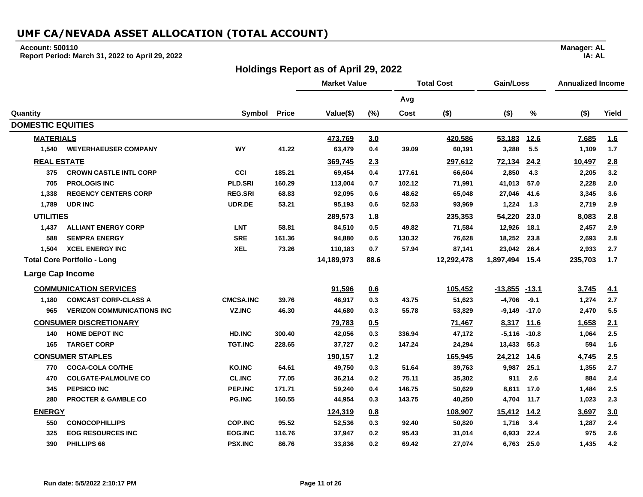### **Account: 500110**

**Report Period: March 31, 2022 to April 29, 2022**

## **Holdings Report as of April 29, 2022**

|                          |                                    |                  |              | <b>Market Value</b> |      | <b>Total Cost</b> |            | Gain/Loss        |             | <b>Annualized Income</b> |            |
|--------------------------|------------------------------------|------------------|--------------|---------------------|------|-------------------|------------|------------------|-------------|--------------------------|------------|
|                          |                                    |                  |              |                     |      | Avg               |            |                  |             |                          |            |
| Quantity                 |                                    | Symbol           | <b>Price</b> | Value(\$)           | (%)  | Cost              | $($ \$)    | $($ \$)          | %           | $($ \$)                  | Yield      |
| <b>DOMESTIC EQUITIES</b> |                                    |                  |              |                     |      |                   |            |                  |             |                          |            |
| <b>MATERIALS</b>         |                                    |                  |              | 473,769             | 3.0  |                   | 420,586    | 53,183           | <u>12.6</u> | 7,685                    | <u>1.6</u> |
| 1,540                    | <b>WEYERHAEUSER COMPANY</b>        | <b>WY</b>        | 41.22        | 63,479              | 0.4  | 39.09             | 60,191     | 3,288            | 5.5         | 1,109                    | 1.7        |
| <b>REAL ESTATE</b>       |                                    |                  |              | 369,745             | 2.3  |                   | 297,612    | 72,134           | 24.2        | 10,497                   | 2.8        |
| 375                      | <b>CROWN CASTLE INTL CORP</b>      | CCI              | 185.21       | 69,454              | 0.4  | 177.61            | 66,604     | 2,850            | 4.3         | 2,205                    | 3.2        |
| 705                      | <b>PROLOGIS INC</b>                | PLD.SRI          | 160.29       | 113,004             | 0.7  | 102.12            | 71,991     | 41,013           | 57.0        | 2,228                    | 2.0        |
| 1,338                    | <b>REGENCY CENTERS CORP</b>        | <b>REG.SRI</b>   | 68.83        | 92,095              | 0.6  | 48.62             | 65,048     | 27,046           | 41.6        | 3,345                    | 3.6        |
| 1,789                    | <b>UDR INC</b>                     | UDR.DE           | 53.21        | 95,193              | 0.6  | 52.53             | 93,969     | 1,224            | 1.3         | 2,719                    | 2.9        |
| <b>UTILITIES</b>         |                                    |                  |              | 289,573             | 1.8  |                   | 235,353    | 54,220           | 23.0        | 8,083                    | 2.8        |
| 1.437                    | <b>ALLIANT ENERGY CORP</b>         | <b>LNT</b>       | 58.81        | 84,510              | 0.5  | 49.82             | 71,584     | 12,926           | 18.1        | 2,457                    | 2.9        |
| 588                      | <b>SEMPRA ENERGY</b>               | <b>SRE</b>       | 161.36       | 94,880              | 0.6  | 130.32            | 76,628     | 18,252           | 23.8        | 2,693                    | 2.8        |
| 1,504                    | <b>XCEL ENERGY INC</b>             | <b>XEL</b>       | 73.26        | 110,183             | 0.7  | 57.94             | 87,141     | 23,042           | 26.4        | 2,933                    | 2.7        |
|                          | <b>Total Core Portfolio - Long</b> |                  |              | 14,189,973          | 88.6 |                   | 12,292,478 | 1,897,494        | 15.4        | 235,703                  | 1.7        |
| <b>Large Cap Income</b>  |                                    |                  |              |                     |      |                   |            |                  |             |                          |            |
|                          | <b>COMMUNICATION SERVICES</b>      |                  |              | 91,596              | 0.6  |                   | 105,452    | $-13.855 - 13.1$ |             | 3,745                    | 4.1        |
| 1,180                    | <b>COMCAST CORP-CLASS A</b>        | <b>CMCSA.INC</b> | 39.76        | 46,917              | 0.3  | 43.75             | 51,623     | $-4,706$         | $-9.1$      | 1,274                    | 2.7        |
| 965                      | <b>VERIZON COMMUNICATIONS INC</b>  | <b>VZ.INC</b>    | 46.30        | 44,680              | 0.3  | 55.78             | 53,829     | $-9,149$         | $-17.0$     | 2,470                    | 5.5        |
|                          | <b>CONSUMER DISCRETIONARY</b>      |                  |              | 79,783              | 0.5  |                   | 71,467     | 8,317            | <u>11.6</u> | 1,658                    | 2.1        |
| 140                      | <b>HOME DEPOT INC</b>              | <b>HD.INC</b>    | 300.40       | 42,056              | 0.3  | 336.94            | 47,172     | $-5,116$         | $-10.8$     | 1,064                    | 2.5        |
| 165                      | <b>TARGET CORP</b>                 | <b>TGT.INC</b>   | 228.65       | 37,727              | 0.2  | 147.24            | 24,294     | 13,433           | 55.3        | 594                      | 1.6        |
|                          | <b>CONSUMER STAPLES</b>            |                  |              | 190,157             | 1.2  |                   | 165,945    | 24,212           | 14.6        | 4,745                    | 2.5        |
| 770                      | <b>COCA-COLA CO/THE</b>            | <b>KO.INC</b>    | 64.61        | 49,750              | 0.3  | 51.64             | 39,763     | 9,987            | 25.1        | 1,355                    | 2.7        |
| 470                      | <b>COLGATE-PALMOLIVE CO</b>        | <b>CL.INC</b>    | 77.05        | 36,214              | 0.2  | 75.11             | 35,302     | 911              | 2.6         | 884                      | 2.4        |
| 345                      | <b>PEPSICO INC</b>                 | PEP.INC          | 171.71       | 59,240              | 0.4  | 146.75            | 50,629     | 8,611            | 17.0        | 1,484                    | 2.5        |
| 280                      | <b>PROCTER &amp; GAMBLE CO</b>     | <b>PG.INC</b>    | 160.55       | 44,954              | 0.3  | 143.75            | 40,250     | 4,704            | 11.7        | 1,023                    | 2.3        |
| <b>ENERGY</b>            |                                    |                  |              | 124,319             | 0.8  |                   | 108,907    | 15,412           | <u>14.2</u> | 3,697                    | 3.0        |
| 550                      | <b>CONOCOPHILLIPS</b>              | <b>COP.INC</b>   | 95.52        | 52,536              | 0.3  | 92.40             | 50,820     | 1,716            | 3.4         | 1,287                    | 2.4        |
| 325                      | <b>EOG RESOURCES INC</b>           | EOG.INC          | 116.76       | 37,947              | 0.2  | 95.43             | 31,014     | 6,933            | 22.4        | 975                      | 2.6        |
| 390                      | PHILLIPS 66                        | <b>PSX.INC</b>   | 86.76        | 33,836              | 0.2  | 69.42             | 27,074     | 6,763            | 25.0        | 1,435                    | 4.2        |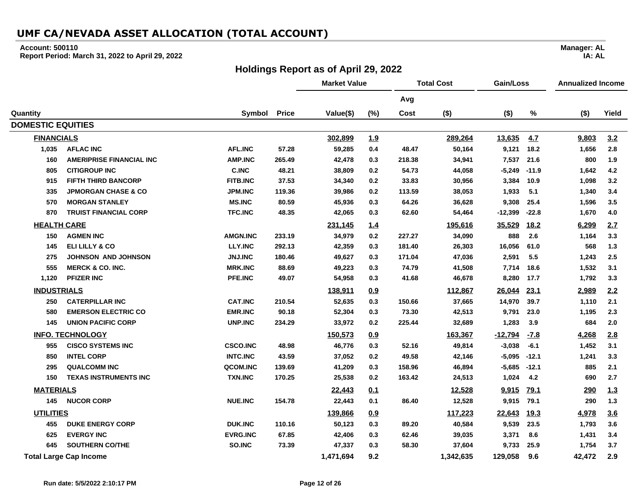### **Account: 500110**

**Report Period: March 31, 2022 to April 29, 2022**

## **Holdings Report as of April 29, 2022**

|                          |                                 |                 |              | <b>Market Value</b> |            | <b>Total Cost</b> |           | Gain/Loss |             | <b>Annualized Income</b> |       |
|--------------------------|---------------------------------|-----------------|--------------|---------------------|------------|-------------------|-----------|-----------|-------------|--------------------------|-------|
|                          |                                 |                 |              |                     |            | Avg               |           |           |             |                          |       |
| Quantity                 |                                 | Symbol          | <b>Price</b> | Value(\$)           | (%)        | Cost              | $($ \$)   | $($ \$)   | $\%$        | $($ \$)                  | Yield |
| <b>DOMESTIC EQUITIES</b> |                                 |                 |              |                     |            |                   |           |           |             |                          |       |
| <b>FINANCIALS</b>        |                                 |                 |              | 302,899             | <u>1.9</u> |                   | 289,264   | 13,635    | 4.7         | 9,803                    | 3.2   |
| 1,035                    | <b>AFLAC INC</b>                | <b>AFL.INC</b>  | 57.28        | 59,285              | 0.4        | 48.47             | 50,164    | 9,121     | 18.2        | 1,656                    | 2.8   |
| 160                      | <b>AMERIPRISE FINANCIAL INC</b> | <b>AMP.INC</b>  | 265.49       | 42,478              | 0.3        | 218.38            | 34,941    | 7,537     | 21.6        | 800                      | 1.9   |
| 805                      | <b>CITIGROUP INC</b>            | <b>C.INC</b>    | 48.21        | 38,809              | 0.2        | 54.73             | 44,058    | $-5,249$  | $-11.9$     | 1,642                    | 4.2   |
| 915                      | <b>FIFTH THIRD BANCORP</b>      | <b>FITB.INC</b> | 37.53        | 34,340              | 0.2        | 33.83             | 30,956    | 3,384     | 10.9        | 1,098                    | 3.2   |
| 335                      | <b>JPMORGAN CHASE &amp; CO</b>  | <b>JPM.INC</b>  | 119.36       | 39,986              | 0.2        | 113.59            | 38,053    | 1,933     | 5.1         | 1,340                    | 3.4   |
| 570                      | <b>MORGAN STANLEY</b>           | <b>MS.INC</b>   | 80.59        | 45,936              | 0.3        | 64.26             | 36,628    | 9,308     | 25.4        | 1,596                    | 3.5   |
| 870                      | <b>TRUIST FINANCIAL CORP</b>    | <b>TFC.INC</b>  | 48.35        | 42,065              | 0.3        | 62.60             | 54,464    | $-12,399$ | $-22.8$     | 1,670                    | 4.0   |
| <b>HEALTH CARE</b>       |                                 |                 |              | 231,145             | 1.4        |                   | 195,616   | 35,529    | <u>18.2</u> | 6,299                    | 2.7   |
| 150                      | <b>AGMEN INC</b>                | <b>AMGN.INC</b> | 233.19       | 34,979              | 0.2        | 227.27            | 34,090    | 888       | 2.6         | 1,164                    | 3.3   |
| 145                      | ELI LILLY & CO                  | <b>LLY.INC</b>  | 292.13       | 42,359              | 0.3        | 181.40            | 26,303    | 16,056    | 61.0        | 568                      | 1.3   |
| 275                      | <b>JOHNSON AND JOHNSON</b>      | <b>JNJ.INC</b>  | 180.46       | 49,627              | 0.3        | 171.04            | 47,036    | 2,591     | 5.5         | 1,243                    | 2.5   |
| 555                      | <b>MERCK &amp; CO. INC.</b>     | <b>MRK.INC</b>  | 88.69        | 49,223              | 0.3        | 74.79             | 41,508    | 7,714     | 18.6        | 1,532                    | 3.1   |
| 1,120                    | <b>PFIZER INC</b>               | PFE.INC         | 49.07        | 54,958              | 0.3        | 41.68             | 46,678    | 8,280     | 17.7        | 1,792                    | 3.3   |
| <b>INDUSTRIALS</b>       |                                 |                 |              | 138,911             | 0.9        |                   | 112,867   | 26,044    | 23.1        | 2,989                    | 2.2   |
| 250                      | <b>CATERPILLAR INC</b>          | <b>CAT.INC</b>  | 210.54       | 52,635              | 0.3        | 150.66            | 37,665    | 14,970    | 39.7        | 1,110                    | 2.1   |
| 580                      | <b>EMERSON ELECTRIC CO</b>      | <b>EMR.INC</b>  | 90.18        | 52,304              | 0.3        | 73.30             | 42,513    | 9,791     | 23.0        | 1,195                    | 2.3   |
| 145                      | <b>UNION PACIFIC CORP</b>       | <b>UNP.INC</b>  | 234.29       | 33,972              | 0.2        | 225.44            | 32,689    | 1,283     | 3.9         | 684                      | 2.0   |
|                          | <b>INFO. TECHNOLOGY</b>         |                 |              | 150,573             | 0.9        |                   | 163,367   | $-12,794$ | $-7.8$      | 4,268                    | 2.8   |
| 955                      | <b>CISCO SYSTEMS INC</b>        | <b>CSCO.INC</b> | 48.98        | 46,776              | 0.3        | 52.16             | 49,814    | $-3,038$  | $-6.1$      | 1,452                    | 3.1   |
| 850                      | <b>INTEL CORP</b>               | <b>INTC.INC</b> | 43.59        | 37,052              | 0.2        | 49.58             | 42,146    | $-5,095$  | $-12.1$     | 1,241                    | 3.3   |
| 295                      | <b>QUALCOMM INC</b>             | QCOM.INC        | 139.69       | 41,209              | 0.3        | 158.96            | 46,894    | $-5,685$  | $-12.1$     | 885                      | 2.1   |
| 150                      | <b>TEXAS INSTRUMENTS INC</b>    | <b>TXN.INC</b>  | 170.25       | 25,538              | 0.2        | 163.42            | 24,513    | 1,024     | 4.2         | 690                      | 2.7   |
| <b>MATERIALS</b>         |                                 |                 |              | 22,443              | 0.1        |                   | 12,528    | 9,915     | <u>79.1</u> | 290                      | 1.3   |
| 145                      | <b>NUCOR CORP</b>               | <b>NUE.INC</b>  | 154.78       | 22,443              | 0.1        | 86.40             | 12,528    | 9,915     | 79.1        | 290                      | 1.3   |
| <b>UTILITIES</b>         |                                 |                 |              | 139,866             | 0.9        |                   | 117,223   | 22,643    | <u>19.3</u> | 4,978                    | 3.6   |
| 455                      | <b>DUKE ENERGY CORP</b>         | <b>DUK.INC</b>  | 110.16       | 50,123              | 0.3        | 89.20             | 40,584    | 9,539     | 23.5        | 1,793                    | 3.6   |
| 625                      | <b>EVERGY INC</b>               | <b>EVRG.INC</b> | 67.85        | 42,406              | 0.3        | 62.46             | 39,035    | 3,371     | 8.6         | 1,431                    | 3.4   |
| 645                      | <b>SOUTHERN CO/THE</b>          | SO.INC          | 73.39        | 47,337              | 0.3        | 58.30             | 37,604    | 9,733     | 25.9        | 1,754                    | 3.7   |
|                          | <b>Total Large Cap Income</b>   |                 |              | 1,471,694           | 9.2        |                   | 1,342,635 | 129,058   | 9.6         | 42,472                   | 2.9   |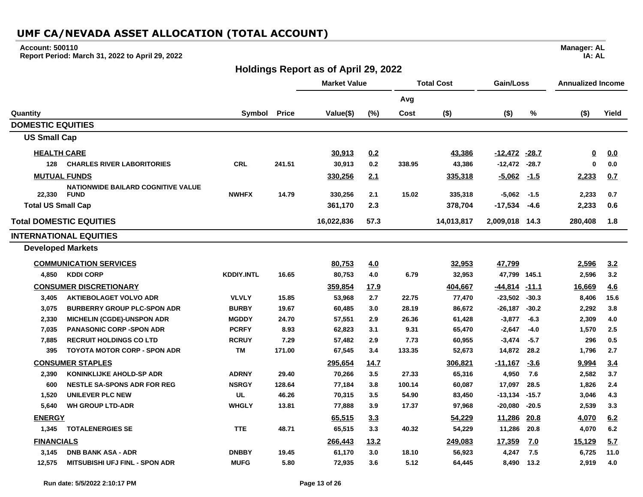### **Account: 500110**

**Report Period: March 31, 2022 to April 29, 2022**

## **Holdings Report as of April 29, 2022**

|                           |                                           |                   |              | <b>Market Value</b> |      | <b>Total Cost</b> |            | Gain/Loss         |              | <b>Annualized Income</b> |       |
|---------------------------|-------------------------------------------|-------------------|--------------|---------------------|------|-------------------|------------|-------------------|--------------|--------------------------|-------|
|                           |                                           |                   |              |                     |      | Avg               |            |                   |              |                          |       |
| Quantity                  |                                           | Symbol            | <b>Price</b> | Value(\$)           | (%)  | Cost              | $($ \$)    | $($ \$)           | %            | $($ \$)                  | Yield |
| <b>DOMESTIC EQUITIES</b>  |                                           |                   |              |                     |      |                   |            |                   |              |                          |       |
| <b>US Small Cap</b>       |                                           |                   |              |                     |      |                   |            |                   |              |                          |       |
| <b>HEALTH CARE</b>        |                                           |                   |              | 30,913              | 0.2  |                   | 43,386     | $-12,472$ $-28.7$ |              | $\overline{\mathbf{0}}$  | 0.0   |
| 128                       | <b>CHARLES RIVER LABORITORIES</b>         | <b>CRL</b>        | 241.51       | 30.913              | 0.2  | 338.95            | 43,386     | $-12,472$         | $-28.7$      | $\bf{0}$                 | 0.0   |
|                           | <b>MUTUAL FUNDS</b>                       |                   |              | 330,256             | 2.1  |                   | 335,318    | $-5.062$          | $-1.5$       | 2,233                    | 0.7   |
|                           | <b>NATIONWIDE BAILARD COGNITIVE VALUE</b> |                   |              |                     |      |                   |            |                   |              |                          |       |
| 22,330                    | <b>FUND</b>                               | <b>NWHFX</b>      | 14.79        | 330,256             | 2.1  | 15.02             | 335,318    | $-5,062$          | $-1.5$       | 2,233                    | 0.7   |
| <b>Total US Small Cap</b> |                                           |                   |              | 361,170             | 2.3  |                   | 378,704    | $-17,534$         | -4.6         | 2,233                    | 0.6   |
|                           | <b>Total DOMESTIC EQUITIES</b>            |                   |              | 16,022,836          | 57.3 |                   | 14,013,817 | 2,009,018         | 14.3         | 280,408                  | 1.8   |
|                           | <b>INTERNATIONAL EQUITIES</b>             |                   |              |                     |      |                   |            |                   |              |                          |       |
| <b>Developed Markets</b>  |                                           |                   |              |                     |      |                   |            |                   |              |                          |       |
|                           | <b>COMMUNICATION SERVICES</b>             |                   |              | 80,753              | 4.0  |                   | 32,953     | 47,799            |              | 2,596                    | 3.2   |
| 4,850                     | <b>KDDI CORP</b>                          | <b>KDDIY.INTL</b> | 16.65        | 80,753              | 4.0  | 6.79              | 32,953     | 47,799 145.1      |              | 2,596                    | 3.2   |
|                           | <b>CONSUMER DISCRETIONARY</b>             |                   |              | 359,854             | 17.9 |                   | 404,667    | $-44,814$         | <u>-11.1</u> | 16,669                   | 4.6   |
| 3,405                     | <b>AKTIEBOLAGET VOLVO ADR</b>             | <b>VLVLY</b>      | 15.85        | 53,968              | 2.7  | 22.75             | 77,470     | $-23,502$         | $-30.3$      | 8,406                    | 15.6  |
| 3,075                     | <b>BURBERRY GROUP PLC-SPON ADR</b>        | <b>BURBY</b>      | 19.67        | 60,485              | 3.0  | 28.19             | 86,672     | $-26,187$         | $-30.2$      | 2,292                    | 3.8   |
| 2,330                     | <b>MICHELIN (CGDE)-UNSPON ADR</b>         | <b>MGDDY</b>      | 24.70        | 57,551              | 2.9  | 26.36             | 61,428     | $-3,877$          | $-6.3$       | 2,309                    | 4.0   |
| 7,035                     | <b>PANASONIC CORP -SPON ADR</b>           | <b>PCRFY</b>      | 8.93         | 62,823              | 3.1  | 9.31              | 65,470     | $-2,647$          | $-4.0$       | 1,570                    | 2.5   |
| 7,885                     | <b>RECRUIT HOLDINGS CO LTD</b>            | <b>RCRUY</b>      | 7.29         | 57,482              | 2.9  | 7.73              | 60,955     | $-3,474$          | $-5.7$       | 296                      | 0.5   |
| 395                       | <b>TOYOTA MOTOR CORP - SPON ADR</b>       | <b>TM</b>         | 171.00       | 67,545              | 3.4  | 133.35            | 52,673     | 14,872            | 28.2         | 1,796                    | 2.7   |
|                           | <b>CONSUMER STAPLES</b>                   |                   |              | 295,654             | 14.7 |                   | 306,821    | <u>-11,167</u>    | $-3.6$       | 9,994                    | 3.4   |
| 2,390                     | <b>KONINKLIJKE AHOLD-SP ADR</b>           | <b>ADRNY</b>      | 29.40        | 70,266              | 3.5  | 27.33             | 65,316     | 4,950             | 7.6          | 2,582                    | 3.7   |
| 600                       | <b>NESTLE SA-SPONS ADR FOR REG</b>        | <b>NSRGY</b>      | 128.64       | 77,184              | 3.8  | 100.14            | 60,087     | 17,097            | 28.5         | 1,826                    | 2.4   |
| 1,520                     | <b>UNILEVER PLC NEW</b>                   | <b>UL</b>         | 46.26        | 70,315              | 3.5  | 54.90             | 83,450     | $-13,134$         | $-15.7$      | 3,046                    | 4.3   |
| 5,640                     | <b>WH GROUP LTD-ADR</b>                   | <b>WHGLY</b>      | 13.81        | 77,888              | 3.9  | 17.37             | 97,968     | $-20,080$         | $-20.5$      | 2,539                    | 3.3   |
| <b>ENERGY</b>             |                                           |                   |              | 65,515              | 3.3  |                   | 54,229     | 11,286            | 20.8         | 4,070                    | 6.2   |
| 1,345                     | <b>TOTALENERGIES SE</b>                   | <b>TTE</b>        | 48.71        | 65,515              | 3.3  | 40.32             | 54,229     | 11,286            | 20.8         | 4,070                    | 6.2   |
| <b>FINANCIALS</b>         |                                           |                   |              | 266,443             | 13.2 |                   | 249,083    | 17,359            | <u>7.0</u>   | 15,129                   | 5.7   |
| 3,145                     | <b>DNB BANK ASA - ADR</b>                 | <b>DNBBY</b>      | 19.45        | 61,170              | 3.0  | 18.10             | 56,923     | 4,247             | 7.5          | 6,725                    | 11.0  |
| 12,575                    | MITSUBISHI UFJ FINL - SPON ADR            | <b>MUFG</b>       | 5.80         | 72,935              | 3.6  | 5.12              | 64,445     | 8,490             | 13.2         | 2,919                    | 4.0   |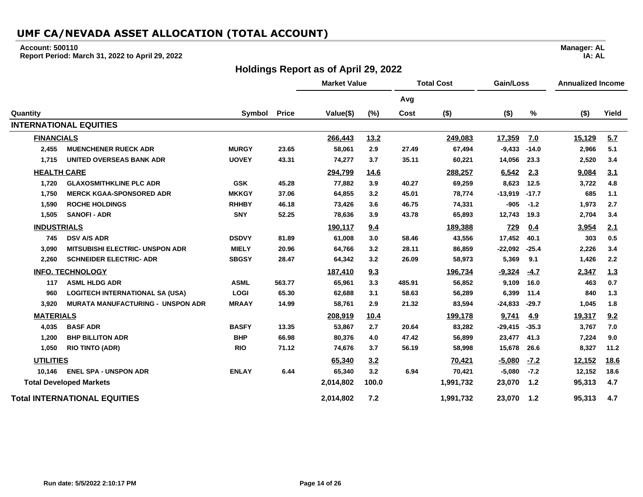#### **Account: 500110**

**Report Period: March 31, 2022 to April 29, 2022**

### **Holdings Report as of April 29, 2022**

**Market Value Total Cost Gain/Loss Annualized Income Avg Quantity Symbol Price Value(\$) (%) Cost (\$) (\$) % (\$) Yield INTERNATIONAL EQUITIES FINANCIALS 266,443 13.2 249,083 17,359 7.0 15,129 5.7 2,455 MUENCHENER RUECK ADR MURGY 23.65 58,061 2.9 27.49 67,494 -9,433 -14.0 2,966 5.1 1,715 UNITED OVERSEAS BANK ADR UOVEY 43.31 74,277 3.7 35.11 60,221 14,056 23.3 2,520 3.4 HEALTH CARE 294,799 14.6 288,257 6,542 2.3 9,084 3.1 1,720 GLAXOSMITHKLINE PLC ADR GSK 45.28 77,882 3.9 40.27 69,259 8,623 12.5 3,722 4.8 1,750 MERCK KGAA-SPONSORED ADR MKKGY 37.06 64,855 3.2 45.01 78,774 -13,919 -17.7 685 1.1 1,590 ROCHE HOLDINGS RHHBY 46.18 73,426 3.6 46.75 74,331 -905 -1.2 1,973 2.7 1,505 SANOFI - ADR SNY 52.25 78,636 3.9 43.78 65,893 12,743 19.3 2,704 3.4 INDUSTRIALS 190,117 9.4 189,388 729 0.4 3,954 2.1 745 DSV A/S ADR DSDVY 81.89 61,008 3.0 58.46 43,556 17,452 40.1 303 0.5 3,090 MITSUBISHI ELECTRIC- UNSPON ADR MIELY 20.96 64,766 3.2 28.11 86,859 -22,092 -25.4 2,226 3.4 2,260 SCHNEIDER ELECTRIC- ADR SBGSY 28.47 64,342 3.2 26.09 58,973 5,369 9.1 1,426 2.2 INFO. TECHNOLOGY 187,410 9.3 196,734 -9,324 -4.7 2,347 1.3 117 ASML HLDG ADR ASML 563.77 65,961 3.3 485.91 56,852 9,109 16.0 463 0.7 960 LOGITECH INTERNATIONAL SA (USA) LOGI 65.30 62,688 3.1 58.63 56,289 6,399 11.4 840 1.3 3,920 MURATA MANUFACTURING - UNSPON ADR MRAAY 14.99 58,761 2.9 21.32 83,594 -24,833 -29.7 1,045 1.8 MATERIALS 208,919 10.4 199,178 9,741 4.9 19,317 9.2 4,035 BASF ADR BASFY 13.35 53,867 2.7 20.64 83,282 -29,415 -35.3 3,767 7.0 1,200 BHP BILLITON ADR BHP 66.98 80,376 4.0 47.42 56,899 23,477 41.3 7,224 9.0 1,050 RIO TINTO (ADR) RIO 71.12 74,676 3.7 56.19 58,998 15,678 26.6 8,327 11.2 UTILITIES 65,340 3.2 70,421 -5,080 -7.2 12,152 18.6 10,146 ENEL SPA - UNSPON ADR ENLAY 6.44 65,340 3.2 6.94 70,421 -5,080 -7.2 12,152 18.6 Total Developed Markets 2,014,802 100.0 1,991,732 23,070 1.2 95,313 4.7 Total INTERNATIONAL EQUITIES 2,014,802 7.2 1,991,732 23,070 1.2 95,313 4.7**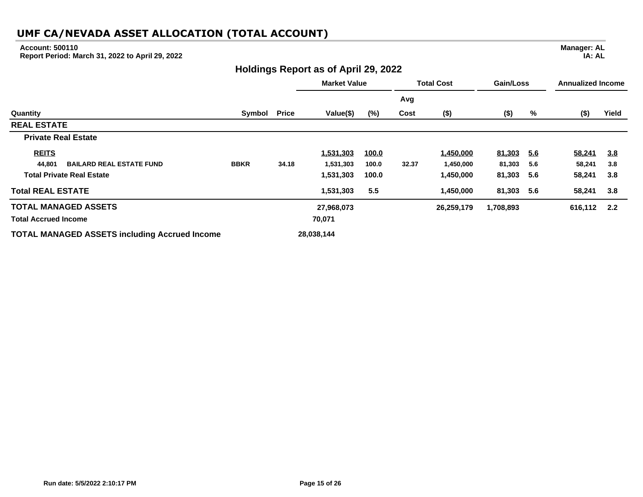#### **Account: 500110**

**Report Period: March 31, 2022 to April 29, 2022**

### **Holdings Report as of April 29, 2022**

**Market Value Total Cost Gain/Loss Annualized Income Avg Quantity Symbol Price Value(\$) (%) Cost (\$) (\$) % (\$) Yield REAL ESTATE Private Real Estate REITS 1,531,303 100.0 1,450,000 81,303 5.6 58,241 3.8 44,801 BAILARD REAL ESTATE FUND BBKR 34.18 1,531,303 100.0 32.37 1,450,000 81,303 5.6 58,241 3.8 Total Private Real Estate 1,531,303 100.0 1,450,000 81,303 5.6 58,241 3.8 Total REAL ESTATE 1,531,303 5.5 1,450,000 81,303 5.6 58,241 3.8 TOTAL MANAGED ASSETS 27,968,073 26,259,179 1,708,893 616,112 2.2 Total Accrued Income 70,071 TOTAL MANAGED ASSETS including Accrued Income 28,038,144**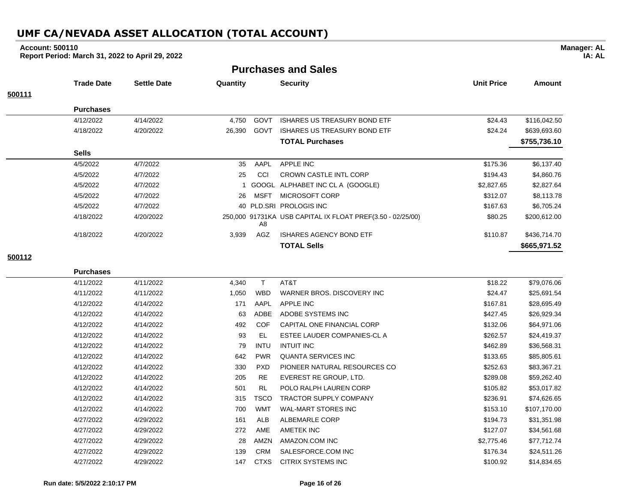#### **Account: 500110**

**Report Period: March 31, 2022 to April 29, 2022**

**Purchases and Sales**

|        | <b>Trade Date</b> | <b>Settle Date</b> | Quantity |             | <b>Security</b>                                            | <b>Unit Price</b> | Amount       |
|--------|-------------------|--------------------|----------|-------------|------------------------------------------------------------|-------------------|--------------|
| 500111 |                   |                    |          |             |                                                            |                   |              |
|        | <b>Purchases</b>  |                    |          |             |                                                            |                   |              |
|        | 4/12/2022         | 4/14/2022          | 4,750    | GOVT        | <b>ISHARES US TREASURY BOND ETF</b>                        | \$24.43           | \$116,042.50 |
|        | 4/18/2022         | 4/20/2022          | 26,390   | GOVT        | ISHARES US TREASURY BOND ETF                               | \$24.24           | \$639,693.60 |
|        |                   |                    |          |             | <b>TOTAL Purchases</b>                                     |                   | \$755,736.10 |
|        | <b>Sells</b>      |                    |          |             |                                                            |                   |              |
|        | 4/5/2022          | 4/7/2022           | 35       | AAPL        | <b>APPLE INC</b>                                           | \$175.36          | \$6,137.40   |
|        | 4/5/2022          | 4/7/2022           | 25       | CCI         | <b>CROWN CASTLE INTL CORP</b>                              | \$194.43          | \$4,860.76   |
|        | 4/5/2022          | 4/7/2022           |          | GOOGL       | ALPHABET INC CL A (GOOGLE)                                 | \$2,827.65        | \$2,827.64   |
|        | 4/5/2022          | 4/7/2022           | 26       | <b>MSFT</b> | MICROSOFT CORP                                             | \$312.07          | \$8,113.78   |
|        | 4/5/2022          | 4/7/2022           | 40       |             | PLD.SRI PROLOGIS INC                                       | \$167.63          | \$6,705.24   |
|        | 4/18/2022         | 4/20/2022          |          | A8          | 250,000 91731KA USB CAPITAL IX FLOAT PREF(3.50 - 02/25/00) | \$80.25           | \$200,612.00 |
|        | 4/18/2022         | 4/20/2022          | 3,939    | AGZ         | <b>ISHARES AGENCY BOND ETF</b>                             | \$110.87          | \$436,714.70 |
|        |                   |                    |          |             | <b>TOTAL Sells</b>                                         |                   | \$665,971.52 |
| 500112 |                   |                    |          |             |                                                            |                   |              |

| 4/11/2022 | 4/11/2022 | 4,340 |             | AT&T                          | \$18.22    | \$79,076.06  |
|-----------|-----------|-------|-------------|-------------------------------|------------|--------------|
| 4/11/2022 | 4/11/2022 | 1,050 | <b>WBD</b>  | WARNER BROS, DISCOVERY INC.   | \$24.47    | \$25,691.54  |
| 4/12/2022 | 4/14/2022 | 171   | AAPL        | <b>APPLE INC</b>              | \$167.81   | \$28,695.49  |
| 4/12/2022 | 4/14/2022 | 63    | ADBE        | ADOBE SYSTEMS INC             | \$427.45   | \$26,929.34  |
| 4/12/2022 | 4/14/2022 | 492   | <b>COF</b>  | CAPITAL ONE FINANCIAL CORP    | \$132.06   | \$64,971.06  |
| 4/12/2022 | 4/14/2022 | 93    | EL          | ESTEE LAUDER COMPANIES-CL A   | \$262.57   | \$24,419.37  |
| 4/12/2022 | 4/14/2022 | 79    | <b>INTU</b> | <b>INTUIT INC</b>             | \$462.89   | \$36,568.31  |
| 4/12/2022 | 4/14/2022 | 642   | <b>PWR</b>  | QUANTA SERVICES INC           | \$133.65   | \$85,805.61  |
| 4/12/2022 | 4/14/2022 | 330   | <b>PXD</b>  | PIONEER NATURAL RESOURCES CO  | \$252.63   | \$83,367.21  |
| 4/12/2022 | 4/14/2022 | 205   | <b>RE</b>   | EVEREST RE GROUP, LTD.        | \$289.08   | \$59,262.40  |
| 4/12/2022 | 4/14/2022 | 501   | <b>RL</b>   | POLO RALPH LAUREN CORP        | \$105.82   | \$53,017.82  |
| 4/12/2022 | 4/14/2022 | 315   | <b>TSCO</b> | <b>TRACTOR SUPPLY COMPANY</b> | \$236.91   | \$74,626.65  |
| 4/12/2022 | 4/14/2022 | 700   | <b>WMT</b>  | WAL-MART STORES INC           | \$153.10   | \$107,170.00 |
| 4/27/2022 | 4/29/2022 | 161   | <b>ALB</b>  | ALBEMARLE CORP                | \$194.73   | \$31,351.98  |
| 4/27/2022 | 4/29/2022 | 272   | <b>AME</b>  | AMETEK INC                    | \$127.07   | \$34,561.68  |
| 4/27/2022 | 4/29/2022 | 28    | AMZN        | AMAZON.COM INC                | \$2,775.46 | \$77,712.74  |
| 4/27/2022 | 4/29/2022 | 139   | <b>CRM</b>  | SALESFORCE.COM INC            | \$176.34   | \$24,511.26  |

**Manager: AL IA: AL**

**Purchases**

4/27/2022 4/29/2022 147 CTXS CITRIX SYSTEMS INC \$100.92 \$14,834.65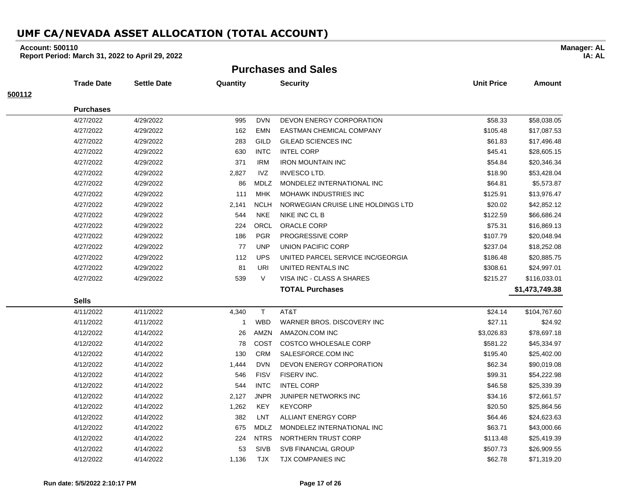### **Account: 500110**

**Report Period: March 31, 2022 to April 29, 2022**

**Purchases and Sales**

|        | <b>Trade Date</b> | <b>Settle Date</b> | Quantity     |             | <b>Security</b>                    | <b>Unit Price</b> | Amount         |
|--------|-------------------|--------------------|--------------|-------------|------------------------------------|-------------------|----------------|
| 500112 |                   |                    |              |             |                                    |                   |                |
|        | <b>Purchases</b>  |                    |              |             |                                    |                   |                |
|        | 4/27/2022         | 4/29/2022          | 995          | <b>DVN</b>  | <b>DEVON ENERGY CORPORATION</b>    | \$58.33           | \$58,038.05    |
|        | 4/27/2022         | 4/29/2022          | 162          | <b>EMN</b>  | EASTMAN CHEMICAL COMPANY           | \$105.48          | \$17,087.53    |
|        | 4/27/2022         | 4/29/2022          | 283          | GILD        | GILEAD SCIENCES INC                | \$61.83           | \$17,496.48    |
|        | 4/27/2022         | 4/29/2022          | 630          | <b>INTC</b> | <b>INTEL CORP</b>                  | \$45.41           | \$28,605.15    |
|        | 4/27/2022         | 4/29/2022          | 371          | <b>IRM</b>  | <b>IRON MOUNTAIN INC</b>           | \$54.84           | \$20,346.34    |
|        | 4/27/2022         | 4/29/2022          | 2,827        | <b>IVZ</b>  | INVESCO LTD.                       | \$18.90           | \$53,428.04    |
|        | 4/27/2022         | 4/29/2022          | 86           | MDLZ        | MONDELEZ INTERNATIONAL INC         | \$64.81           | \$5,573.87     |
|        | 4/27/2022         | 4/29/2022          | 111          | <b>MHK</b>  | <b>MOHAWK INDUSTRIES INC</b>       | \$125.91          | \$13,976.47    |
|        | 4/27/2022         | 4/29/2022          | 2,141        | <b>NCLH</b> | NORWEGIAN CRUISE LINE HOLDINGS LTD | \$20.02           | \$42,852.12    |
|        | 4/27/2022         | 4/29/2022          | 544          | <b>NKE</b>  | NIKE INC CL B                      | \$122.59          | \$66,686.24    |
|        | 4/27/2022         | 4/29/2022          | 224          | ORCL        | ORACLE CORP                        | \$75.31           | \$16,869.13    |
|        | 4/27/2022         | 4/29/2022          | 186          | <b>PGR</b>  | PROGRESSIVE CORP                   | \$107.79          | \$20,048.94    |
|        | 4/27/2022         | 4/29/2022          | 77           | <b>UNP</b>  | UNION PACIFIC CORP                 | \$237.04          | \$18,252.08    |
|        | 4/27/2022         | 4/29/2022          | 112          | <b>UPS</b>  | UNITED PARCEL SERVICE INC/GEORGIA  | \$186.48          | \$20,885.75    |
|        | 4/27/2022         | 4/29/2022          | 81           | <b>URI</b>  | UNITED RENTALS INC                 | \$308.61          | \$24,997.01    |
|        | 4/27/2022         | 4/29/2022          | 539          | $\vee$      | VISA INC - CLASS A SHARES          | \$215.27          | \$116,033.01   |
|        |                   |                    |              |             | <b>TOTAL Purchases</b>             |                   | \$1,473,749.38 |
|        | <b>Sells</b>      |                    |              |             |                                    |                   |                |
|        | 4/11/2022         | 4/11/2022          | 4,340        | T.          | AT&T                               | \$24.14           | \$104,767.60   |
|        | 4/11/2022         | 4/11/2022          | $\mathbf{1}$ | <b>WBD</b>  | WARNER BROS, DISCOVERY INC         | \$27.11           | \$24.92        |
|        | 4/12/2022         | 4/14/2022          | 26           | AMZN        | AMAZON.COM INC                     | \$3,026.83        | \$78,697.18    |
|        | 4/12/2022         | 4/14/2022          | 78           | COST        | <b>COSTCO WHOLESALE CORP</b>       | \$581.22          | \$45,334.97    |
|        | 4/12/2022         | 4/14/2022          | 130          | <b>CRM</b>  | SALESFORCE.COM INC                 | \$195.40          | \$25,402.00    |
|        | 4/12/2022         | 4/14/2022          | 1,444        | <b>DVN</b>  | <b>DEVON ENERGY CORPORATION</b>    | \$62.34           | \$90,019.08    |
|        | 4/12/2022         | 4/14/2022          | 546          | <b>FISV</b> | FISERV INC.                        | \$99.31           | \$54,222.98    |
|        | 4/12/2022         | 4/14/2022          | 544          | <b>INTC</b> | <b>INTEL CORP</b>                  | \$46.58           | \$25,339.39    |
|        | 4/12/2022         | 4/14/2022          | 2,127        | <b>JNPR</b> | JUNIPER NETWORKS INC               | \$34.16           | \$72,661.57    |
|        | 4/12/2022         | 4/14/2022          | 1,262        | KEY         | <b>KEYCORP</b>                     | \$20.50           | \$25,864.56    |
|        | 4/12/2022         | 4/14/2022          | 382          | LNT         | ALLIANT ENERGY CORP                | \$64.46           | \$24,623.63    |
|        | 4/12/2022         | 4/14/2022          | 675          | <b>MDLZ</b> | MONDELEZ INTERNATIONAL INC         | \$63.71           | \$43,000.66    |
|        | 4/12/2022         | 4/14/2022          | 224          | <b>NTRS</b> | NORTHERN TRUST CORP                | \$113.48          | \$25,419.39    |
|        | 4/12/2022         | 4/14/2022          | 53           | <b>SIVB</b> | SVB FINANCIAL GROUP                | \$507.73          | \$26,909.55    |
|        | 4/12/2022         | 4/14/2022          | 1,136        | <b>TJX</b>  | <b>TJX COMPANIES INC</b>           | \$62.78           | \$71,319.20    |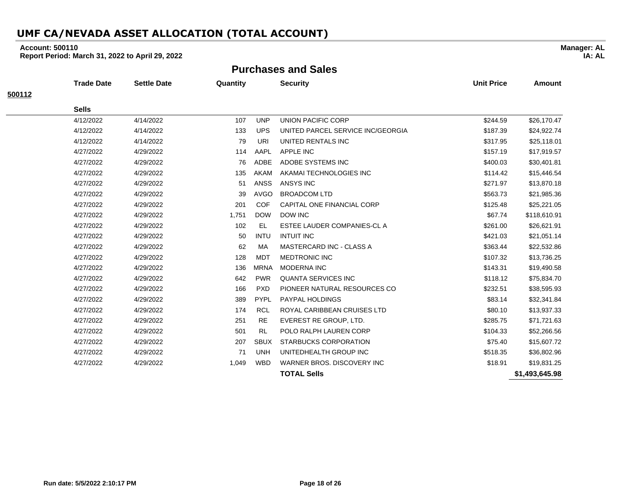### **Account: 500110**

**Report Period: March 31, 2022 to April 29, 2022**

**Purchases and Sales**

|        | <b>Trade Date</b> | <b>Settle Date</b> | Quantity |             | <b>Security</b>                   | <b>Unit Price</b> | <b>Amount</b>  |
|--------|-------------------|--------------------|----------|-------------|-----------------------------------|-------------------|----------------|
| 500112 |                   |                    |          |             |                                   |                   |                |
|        | <b>Sells</b>      |                    |          |             |                                   |                   |                |
|        | 4/12/2022         | 4/14/2022          | 107      | <b>UNP</b>  | UNION PACIFIC CORP                | \$244.59          | \$26,170.47    |
|        | 4/12/2022         | 4/14/2022          | 133      | <b>UPS</b>  | UNITED PARCEL SERVICE INC/GEORGIA | \$187.39          | \$24,922.74    |
|        | 4/12/2022         | 4/14/2022          | 79       | URI         | UNITED RENTALS INC                | \$317.95          | \$25,118.01    |
|        | 4/27/2022         | 4/29/2022          | 114      | AAPL        | <b>APPLE INC</b>                  | \$157.19          | \$17,919.57    |
|        | 4/27/2022         | 4/29/2022          | 76       | ADBE        | ADOBE SYSTEMS INC                 | \$400.03          | \$30,401.81    |
|        | 4/27/2022         | 4/29/2022          | 135      | <b>AKAM</b> | AKAMAI TECHNOLOGIES INC           | \$114.42          | \$15,446.54    |
|        | 4/27/2022         | 4/29/2022          | 51       | <b>ANSS</b> | ANSYS INC                         | \$271.97          | \$13,870.18    |
|        | 4/27/2022         | 4/29/2022          | 39       | <b>AVGO</b> | <b>BROADCOM LTD</b>               | \$563.73          | \$21,985.36    |
|        | 4/27/2022         | 4/29/2022          | 201      | <b>COF</b>  | CAPITAL ONE FINANCIAL CORP        | \$125.48          | \$25,221.05    |
|        | 4/27/2022         | 4/29/2022          | 1,751    | <b>DOW</b>  | <b>DOW INC</b>                    | \$67.74           | \$118,610.91   |
|        | 4/27/2022         | 4/29/2022          | 102      | EL          | ESTEE LAUDER COMPANIES-CL A       | \$261.00          | \$26,621.91    |
|        | 4/27/2022         | 4/29/2022          | 50       | <b>INTU</b> | <b>INTUIT INC</b>                 | \$421.03          | \$21,051.14    |
|        | 4/27/2022         | 4/29/2022          | 62       | МA          | MASTERCARD INC - CLASS A          | \$363.44          | \$22,532.86    |
|        | 4/27/2022         | 4/29/2022          | 128      | <b>MDT</b>  | <b>MEDTRONIC INC</b>              | \$107.32          | \$13,736.25    |
|        | 4/27/2022         | 4/29/2022          | 136      | <b>MRNA</b> | <b>MODERNA INC</b>                | \$143.31          | \$19,490.58    |
|        | 4/27/2022         | 4/29/2022          | 642      | <b>PWR</b>  | <b>QUANTA SERVICES INC</b>        | \$118.12          | \$75,834.70    |
|        | 4/27/2022         | 4/29/2022          | 166      | <b>PXD</b>  | PIONEER NATURAL RESOURCES CO      | \$232.51          | \$38,595.93    |
|        | 4/27/2022         | 4/29/2022          | 389      | <b>PYPL</b> | <b>PAYPAL HOLDINGS</b>            | \$83.14           | \$32,341.84    |
|        | 4/27/2022         | 4/29/2022          | 174      | <b>RCL</b>  | ROYAL CARIBBEAN CRUISES LTD       | \$80.10           | \$13,937.33    |
|        | 4/27/2022         | 4/29/2022          | 251      | <b>RE</b>   | EVEREST RE GROUP, LTD.            | \$285.75          | \$71,721.63    |
|        | 4/27/2022         | 4/29/2022          | 501      | <b>RL</b>   | POLO RALPH LAUREN CORP            | \$104.33          | \$52,266.56    |
|        | 4/27/2022         | 4/29/2022          | 207      | <b>SBUX</b> | <b>STARBUCKS CORPORATION</b>      | \$75.40           | \$15,607.72    |
|        | 4/27/2022         | 4/29/2022          | 71       | <b>UNH</b>  | UNITEDHEALTH GROUP INC            | \$518.35          | \$36,802.96    |
|        | 4/27/2022         | 4/29/2022          | 1,049    | <b>WBD</b>  | WARNER BROS. DISCOVERY INC        | \$18.91           | \$19,831.25    |
|        |                   |                    |          |             | <b>TOTAL Sells</b>                |                   | \$1,493,645,98 |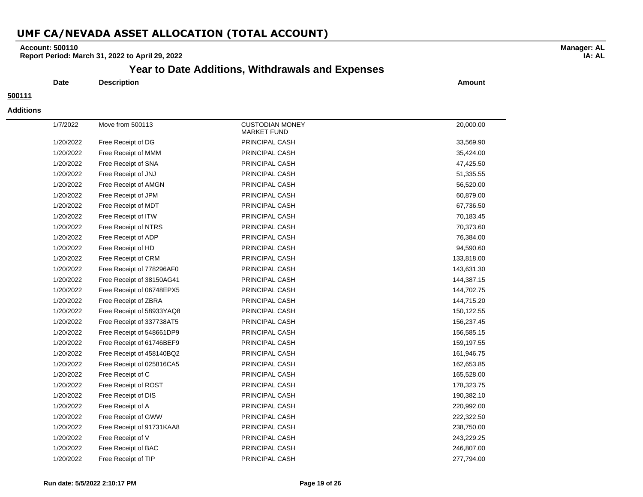### **Account: 500110**

**Report Period: March 31, 2022 to April 29, 2022**

### **Year to Date Additions, Withdrawals and Expenses**

**Date Description Amount**

### **500111**

#### **Additions**

| 1/7/2022  | Move from 500113          | <b>CUSTODIAN MONEY</b><br><b>MARKET FUND</b> | 20,000.00  |
|-----------|---------------------------|----------------------------------------------|------------|
| 1/20/2022 | Free Receipt of DG        | PRINCIPAL CASH                               | 33,569.90  |
| 1/20/2022 | Free Receipt of MMM       | PRINCIPAL CASH                               | 35,424.00  |
| 1/20/2022 | Free Receipt of SNA       | PRINCIPAL CASH                               | 47,425.50  |
| 1/20/2022 | Free Receipt of JNJ       | PRINCIPAL CASH                               | 51,335.55  |
| 1/20/2022 | Free Receipt of AMGN      | PRINCIPAL CASH                               | 56,520.00  |
| 1/20/2022 | Free Receipt of JPM       | PRINCIPAL CASH                               | 60,879.00  |
| 1/20/2022 | Free Receipt of MDT       | PRINCIPAL CASH                               | 67,736.50  |
| 1/20/2022 | Free Receipt of ITW       | PRINCIPAL CASH                               | 70,183.45  |
| 1/20/2022 | Free Receipt of NTRS      | PRINCIPAL CASH                               | 70,373.60  |
| 1/20/2022 | Free Receipt of ADP       | PRINCIPAL CASH                               | 76,384.00  |
| 1/20/2022 | Free Receipt of HD        | PRINCIPAL CASH                               | 94,590.60  |
| 1/20/2022 | Free Receipt of CRM       | PRINCIPAL CASH                               | 133,818.00 |
| 1/20/2022 | Free Receipt of 778296AF0 | PRINCIPAL CASH                               | 143,631.30 |
| 1/20/2022 | Free Receipt of 38150AG41 | PRINCIPAL CASH                               | 144,387.15 |
| 1/20/2022 | Free Receipt of 06748EPX5 | PRINCIPAL CASH                               | 144,702.75 |
| 1/20/2022 | Free Receipt of ZBRA      | PRINCIPAL CASH                               | 144,715.20 |
| 1/20/2022 | Free Receipt of 58933YAQ8 | PRINCIPAL CASH                               | 150,122.55 |
| 1/20/2022 | Free Receipt of 337738AT5 | PRINCIPAL CASH                               | 156,237.45 |
| 1/20/2022 | Free Receipt of 548661DP9 | PRINCIPAL CASH                               | 156,585.15 |
| 1/20/2022 | Free Receipt of 61746BEF9 | PRINCIPAL CASH                               | 159,197.55 |
| 1/20/2022 | Free Receipt of 458140BQ2 | PRINCIPAL CASH                               | 161,946.75 |
| 1/20/2022 | Free Receipt of 025816CA5 | PRINCIPAL CASH                               | 162,653.85 |
| 1/20/2022 | Free Receipt of C         | PRINCIPAL CASH                               | 165,528.00 |
| 1/20/2022 | Free Receipt of ROST      | PRINCIPAL CASH                               | 178,323.75 |
| 1/20/2022 | Free Receipt of DIS       | PRINCIPAL CASH                               | 190,382.10 |
| 1/20/2022 | Free Receipt of A         | PRINCIPAL CASH                               | 220,992.00 |
| 1/20/2022 | Free Receipt of GWW       | PRINCIPAL CASH                               | 222,322.50 |
| 1/20/2022 | Free Receipt of 91731KAA8 | PRINCIPAL CASH                               | 238,750.00 |
| 1/20/2022 | Free Receipt of V         | PRINCIPAL CASH                               | 243,229.25 |
| 1/20/2022 | Free Receipt of BAC       | PRINCIPAL CASH                               | 246,807.00 |
| 1/20/2022 | Free Receipt of TIP       | PRINCIPAL CASH                               | 277,794.00 |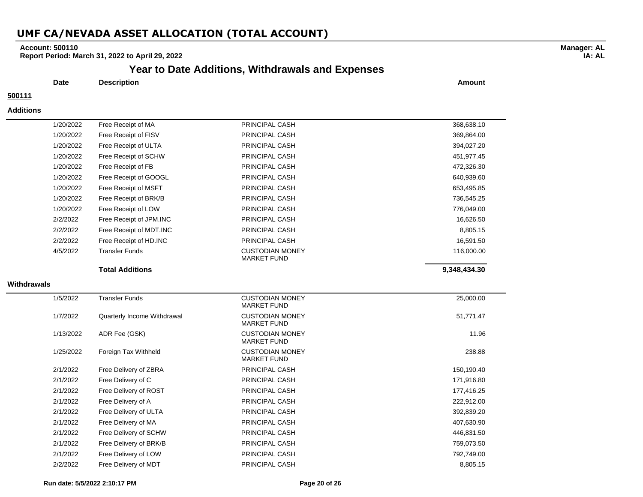### **Account: 500110**

**Report Period: March 31, 2022 to April 29, 2022**

## **Year to Date Additions, Withdrawals and Expenses**

**Date Description Amount**

### **500111**

#### **Additions**

|             | 1/20/2022 | Free Receipt of MA          | PRINCIPAL CASH                               | 368,638.10   |
|-------------|-----------|-----------------------------|----------------------------------------------|--------------|
|             | 1/20/2022 | Free Receipt of FISV        | PRINCIPAL CASH                               | 369,864.00   |
|             | 1/20/2022 | Free Receipt of ULTA        | PRINCIPAL CASH                               | 394,027.20   |
|             | 1/20/2022 | Free Receipt of SCHW        | PRINCIPAL CASH                               | 451,977.45   |
|             | 1/20/2022 | Free Receipt of FB          | PRINCIPAL CASH                               | 472,326.30   |
|             | 1/20/2022 | Free Receipt of GOOGL       | PRINCIPAL CASH                               | 640,939.60   |
|             | 1/20/2022 | Free Receipt of MSFT        | PRINCIPAL CASH                               | 653,495.85   |
|             | 1/20/2022 | Free Receipt of BRK/B       | PRINCIPAL CASH                               | 736,545.25   |
|             | 1/20/2022 | Free Receipt of LOW         | PRINCIPAL CASH                               | 776,049.00   |
|             | 2/2/2022  | Free Receipt of JPM.INC     | PRINCIPAL CASH                               | 16,626.50    |
|             | 2/2/2022  | Free Receipt of MDT.INC     | PRINCIPAL CASH                               | 8,805.15     |
|             | 2/2/2022  | Free Receipt of HD.INC      | PRINCIPAL CASH                               | 16,591.50    |
|             | 4/5/2022  | <b>Transfer Funds</b>       | <b>CUSTODIAN MONEY</b><br><b>MARKET FUND</b> | 116,000.00   |
|             |           | <b>Total Additions</b>      |                                              | 9,348,434.30 |
| Withdrawals |           |                             |                                              |              |
|             | 1/5/2022  | <b>Transfer Funds</b>       | <b>CUSTODIAN MONEY</b><br><b>MARKET FUND</b> | 25,000.00    |
|             | 1/7/2022  | Quarterly Income Withdrawal | <b>CUSTODIAN MONEY</b><br><b>MARKET FUND</b> | 51,771.47    |
|             | 1/13/2022 | ADR Fee (GSK)               | <b>CUSTODIAN MONEY</b><br><b>MARKET FUND</b> | 11.96        |
|             | 1/25/2022 | Foreign Tax Withheld        | <b>CUSTODIAN MONEY</b><br><b>MARKET FUND</b> | 238.88       |
|             | 2/1/2022  | Free Delivery of ZBRA       | PRINCIPAL CASH                               | 150,190.40   |
|             | 2/1/2022  | Free Delivery of C          | PRINCIPAL CASH                               | 171,916.80   |
|             | 2/1/2022  | Free Delivery of ROST       | PRINCIPAL CASH                               | 177,416.25   |
|             | 2/1/2022  | Free Delivery of A          | PRINCIPAL CASH                               | 222,912.00   |
|             | 2/1/2022  | Free Delivery of ULTA       | PRINCIPAL CASH                               | 392,839.20   |
|             | 2/1/2022  | Free Delivery of MA         | PRINCIPAL CASH                               | 407,630.90   |
|             | 2/1/2022  | Free Delivery of SCHW       | PRINCIPAL CASH                               | 446,831.50   |
|             | 2/1/2022  | Free Delivery of BRK/B      | PRINCIPAL CASH                               | 759,073.50   |
|             | 2/1/2022  | Free Delivery of LOW        | PRINCIPAL CASH                               | 792,749.00   |
|             | 2/2/2022  | Free Delivery of MDT        | PRINCIPAL CASH                               | 8,805.15     |

#### **Run date: 5/5/2022 2:10:17 PM Page 20 of 26**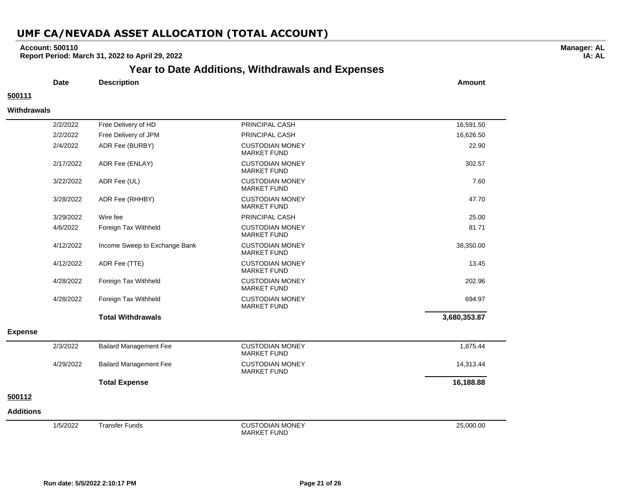### **Account: 500110**

**Report Period: March 31, 2022 to April 29, 2022**

# **Year to Date Additions, Withdrawals and Expenses**

**Date Description Amount**

### **500111**

 $\overline{\phantom{0}}$ 

#### **Withdrawals**

|                  | 2/2/2022  | Free Delivery of HD           | PRINCIPAL CASH                               | 16,591.50    |
|------------------|-----------|-------------------------------|----------------------------------------------|--------------|
|                  | 2/2/2022  | Free Delivery of JPM          | PRINCIPAL CASH                               | 16,626.50    |
|                  | 2/4/2022  | ADR Fee (BURBY)               | <b>CUSTODIAN MONEY</b><br><b>MARKET FUND</b> | 22.90        |
|                  | 2/17/2022 | ADR Fee (ENLAY)               | <b>CUSTODIAN MONEY</b><br><b>MARKET FUND</b> | 302.57       |
|                  | 3/22/2022 | ADR Fee (UL)                  | <b>CUSTODIAN MONEY</b><br><b>MARKET FUND</b> | 7.60         |
|                  | 3/28/2022 | ADR Fee (RHHBY)               | <b>CUSTODIAN MONEY</b><br><b>MARKET FUND</b> | 47.70        |
|                  | 3/29/2022 | Wire fee                      | PRINCIPAL CASH                               | 25.00        |
|                  | 4/6/2022  | Foreign Tax Withheld          | <b>CUSTODIAN MONEY</b><br><b>MARKET FUND</b> | 81.71        |
|                  | 4/12/2022 | Income Sweep to Exchange Bank | <b>CUSTODIAN MONEY</b><br><b>MARKET FUND</b> | 38,350.00    |
|                  | 4/12/2022 | ADR Fee (TTE)                 | <b>CUSTODIAN MONEY</b><br><b>MARKET FUND</b> | 13.45        |
|                  | 4/28/2022 | Foreign Tax Withheld          | <b>CUSTODIAN MONEY</b><br><b>MARKET FUND</b> | 202.96       |
|                  | 4/28/2022 | Foreign Tax Withheld          | <b>CUSTODIAN MONEY</b><br><b>MARKET FUND</b> | 694.97       |
|                  |           | <b>Total Withdrawals</b>      |                                              | 3,680,353.87 |
| <b>Expense</b>   |           |                               |                                              |              |
|                  | 2/3/2022  | <b>Bailard Management Fee</b> | <b>CUSTODIAN MONEY</b><br><b>MARKET FUND</b> | 1,875.44     |
|                  | 4/29/2022 | <b>Bailard Management Fee</b> | <b>CUSTODIAN MONEY</b><br><b>MARKET FUND</b> | 14,313.44    |
|                  |           | <b>Total Expense</b>          |                                              | 16,188.88    |
| 500112           |           |                               |                                              |              |
| <b>Additions</b> |           |                               |                                              |              |
|                  | 1/5/2022  | <b>Transfer Funds</b>         | <b>CUSTODIAN MONEY</b><br><b>MARKET FUND</b> | 25,000.00    |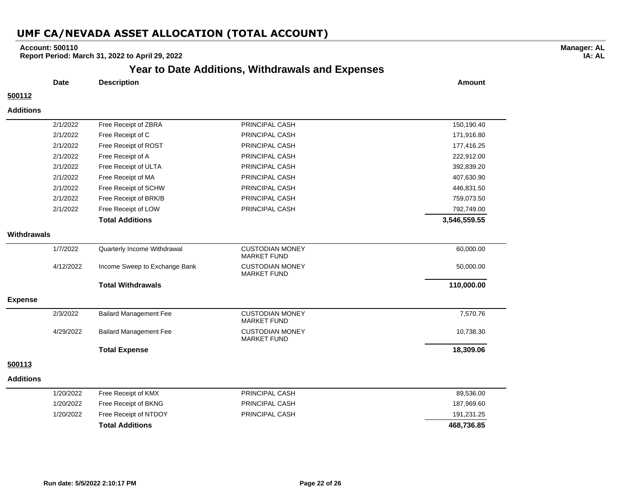### **Account: 500110**

**Report Period: March 31, 2022 to April 29, 2022**

## **Year to Date Additions, Withdrawals and Expenses**

**Manager: AL IA: AL**

|                  | <b>Date</b> | <b>Description</b>            |                                              | Amount       |
|------------------|-------------|-------------------------------|----------------------------------------------|--------------|
| 500112           |             |                               |                                              |              |
| <b>Additions</b> |             |                               |                                              |              |
|                  | 2/1/2022    | Free Receipt of ZBRA          | PRINCIPAL CASH                               | 150,190.40   |
|                  | 2/1/2022    | Free Receipt of C             | PRINCIPAL CASH                               | 171,916.80   |
|                  | 2/1/2022    | Free Receipt of ROST          | PRINCIPAL CASH                               | 177,416.25   |
|                  | 2/1/2022    | Free Receipt of A             | PRINCIPAL CASH                               | 222,912.00   |
|                  | 2/1/2022    | Free Receipt of ULTA          | PRINCIPAL CASH                               | 392,839.20   |
|                  | 2/1/2022    | Free Receipt of MA            | PRINCIPAL CASH                               | 407,630.90   |
|                  | 2/1/2022    | Free Receipt of SCHW          | PRINCIPAL CASH                               | 446,831.50   |
|                  | 2/1/2022    | Free Receipt of BRK/B         | PRINCIPAL CASH                               | 759,073.50   |
|                  | 2/1/2022    | Free Receipt of LOW           | PRINCIPAL CASH                               | 792,749.00   |
|                  |             | <b>Total Additions</b>        |                                              | 3,546,559.55 |
| Withdrawals      |             |                               |                                              |              |
|                  | 1/7/2022    | Quarterly Income Withdrawal   | <b>CUSTODIAN MONEY</b><br><b>MARKET FUND</b> | 60,000.00    |
|                  | 4/12/2022   | Income Sweep to Exchange Bank | <b>CUSTODIAN MONEY</b><br><b>MARKET FUND</b> | 50,000.00    |
|                  |             | <b>Total Withdrawals</b>      |                                              | 110,000.00   |
| <b>Expense</b>   |             |                               |                                              |              |
|                  | 2/3/2022    | <b>Bailard Management Fee</b> | <b>CUSTODIAN MONEY</b><br><b>MARKET FUND</b> | 7,570.76     |
|                  | 4/29/2022   | <b>Bailard Management Fee</b> | <b>CUSTODIAN MONEY</b><br><b>MARKET FUND</b> | 10,738.30    |
|                  |             | <b>Total Expense</b>          |                                              | 18,309.06    |
| 500113           |             |                               |                                              |              |
| <b>Additions</b> |             |                               |                                              |              |
|                  | 1/20/2022   | Free Receipt of KMX           | PRINCIPAL CASH                               | 89,536.00    |
|                  | 1/20/2022   | Free Receipt of BKNG          | PRINCIPAL CASH                               | 187,969.60   |
|                  | 1/20/2022   | Free Receipt of NTDOY         | PRINCIPAL CASH                               | 191,231.25   |

**Total Additions 468,736.85**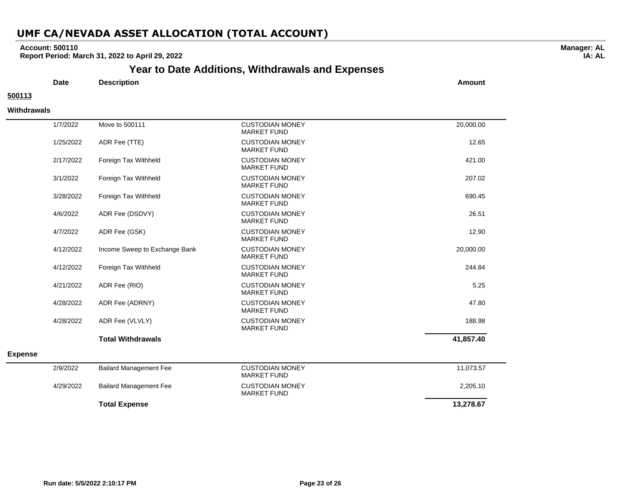### **Account: 500110**

**Report Period: March 31, 2022 to April 29, 2022**

## **Year to Date Additions, Withdrawals and Expenses**

**Date Description Amount**

## **500113**

#### **Withdrawals**

|                | 1/7/2022  | Move to 500111                | <b>CUSTODIAN MONEY</b><br><b>MARKET FUND</b> | 20,000.00 |
|----------------|-----------|-------------------------------|----------------------------------------------|-----------|
|                | 1/25/2022 | ADR Fee (TTE)                 | <b>CUSTODIAN MONEY</b><br><b>MARKET FUND</b> | 12.65     |
|                | 2/17/2022 | Foreign Tax Withheld          | <b>CUSTODIAN MONEY</b><br><b>MARKET FUND</b> | 421.00    |
|                | 3/1/2022  | Foreign Tax Withheld          | <b>CUSTODIAN MONEY</b><br><b>MARKET FUND</b> | 207.02    |
|                | 3/28/2022 | Foreign Tax Withheld          | <b>CUSTODIAN MONEY</b><br><b>MARKET FUND</b> | 690.45    |
|                | 4/6/2022  | ADR Fee (DSDVY)               | <b>CUSTODIAN MONEY</b><br><b>MARKET FUND</b> | 26.51     |
|                | 4/7/2022  | ADR Fee (GSK)                 | <b>CUSTODIAN MONEY</b><br><b>MARKET FUND</b> | 12.90     |
|                | 4/12/2022 | Income Sweep to Exchange Bank | <b>CUSTODIAN MONEY</b><br><b>MARKET FUND</b> | 20,000.00 |
|                | 4/12/2022 | Foreign Tax Withheld          | <b>CUSTODIAN MONEY</b><br><b>MARKET FUND</b> | 244.84    |
|                | 4/21/2022 | ADR Fee (RIO)                 | <b>CUSTODIAN MONEY</b><br><b>MARKET FUND</b> | 5.25      |
|                | 4/28/2022 | ADR Fee (ADRNY)               | <b>CUSTODIAN MONEY</b><br><b>MARKET FUND</b> | 47.80     |
|                | 4/28/2022 | ADR Fee (VLVLY)               | <b>CUSTODIAN MONEY</b><br><b>MARKET FUND</b> | 188.98    |
|                |           | <b>Total Withdrawals</b>      |                                              | 41,857.40 |
| <b>Expense</b> |           |                               |                                              |           |
|                | 2/9/2022  | <b>Bailard Management Fee</b> | <b>CUSTODIAN MONEY</b><br><b>MARKET FUND</b> | 11,073.57 |
|                | 4/29/2022 | <b>Bailard Management Fee</b> | <b>CUSTODIAN MONEY</b><br><b>MARKET FUND</b> | 2,205.10  |
|                |           | <b>Total Expense</b>          |                                              | 13,278.67 |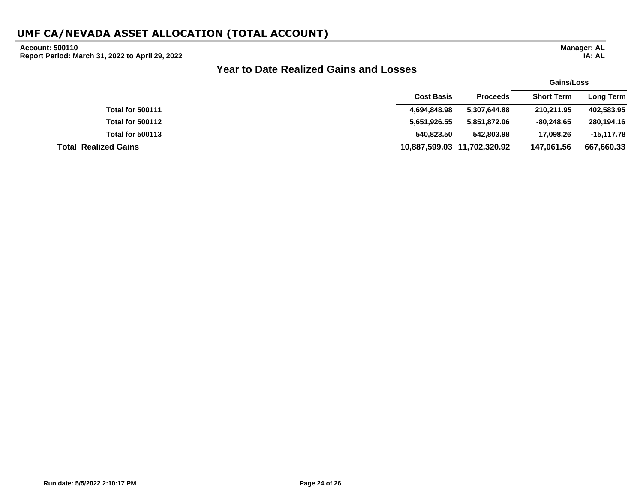### **Account: 500110**

**Report Period: March 31, 2022 to April 29, 2022**

## **Year to Date Realized Gains and Losses**

|                             |                   |                             | <b>Gains/Loss</b> |                  |
|-----------------------------|-------------------|-----------------------------|-------------------|------------------|
|                             | <b>Cost Basis</b> | <b>Proceeds</b>             | <b>Short Term</b> | <b>Long Term</b> |
| <b>Total for 500111</b>     | 4,694,848.98      | 5,307,644.88                | 210,211.95        | 402,583.95       |
| <b>Total for 500112</b>     | 5,651,926.55      | 5,851,872.06                | $-80.248.65$      | 280,194.16       |
| <b>Total for 500113</b>     | 540,823.50        | 542,803.98                  | 17,098.26         | -15,117.78       |
| <b>Total Realized Gains</b> |                   | 10,887,599.03 11,702,320.92 | 147.061.56        | 667,660.33       |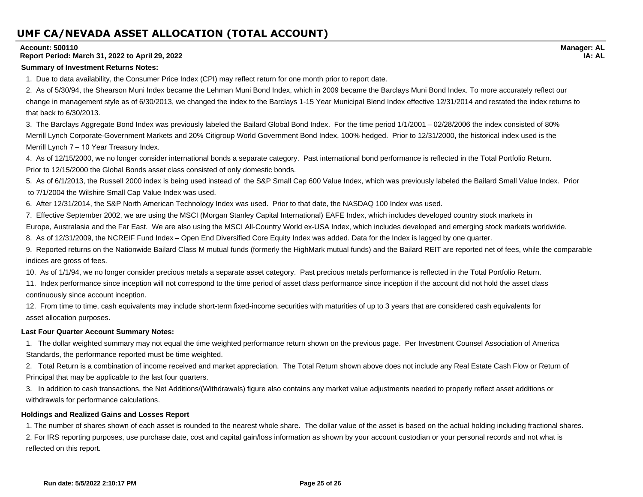#### **Account: 500110**

#### **Report Period: March 31, 2022 to April 29, 2022**

#### **Summary of Investment Returns Notes:**

1. Due to data availability, the Consumer Price Index (CPI) may reflect return for one month prior to report date.

2. As of 5/30/94, the Shearson Muni Index became the Lehman Muni Bond Index, which in 2009 became the Barclays Muni Bond Index. To more accurately reflect our change in management style as of 6/30/2013, we changed the index to the Barclays 1-15 Year Municipal Blend Index effective 12/31/2014 and restated the index returns to that back to 6/30/2013.

3. The Barclays Aggregate Bond Index was previously labeled the Bailard Global Bond Index. For the time period 1/1/2001 – 02/28/2006 the index consisted of 80% Merrill Lynch Corporate-Government Markets and 20% Citigroup World Government Bond Index, 100% hedged. Prior to 12/31/2000, the historical index used is the Merrill Lynch 7 – 10 Year Treasury Index.

4. As of 12/15/2000, we no longer consider international bonds a separate category. Past international bond performance is reflected in the Total Portfolio Return. Prior to 12/15/2000 the Global Bonds asset class consisted of only domestic bonds.

5. As of 6/1/2013, the Russell 2000 index is being used instead of the S&P Small Cap 600 Value Index, which was previously labeled the Bailard Small Value Index. Prior to 7/1/2004 the Wilshire Small Cap Value Index was used.

6. After 12/31/2014, the S&P North American Technology Index was used. Prior to that date, the NASDAQ 100 Index was used.

7. Effective September 2002, we are using the MSCI (Morgan Stanley Capital International) EAFE Index, which includes developed country stock markets in

Europe, Australasia and the Far East. We are also using the MSCI All-Country World ex-USA Index, which includes developed and emerging stock markets worldwide.

8. As of 12/31/2009, the NCREIF Fund Index – Open End Diversified Core Equity Index was added. Data for the Index is lagged by one quarter.

9. Reported returns on the Nationwide Bailard Class M mutual funds (formerly the HighMark mutual funds) and the Bailard REIT are reported net of fees, while the comparable indices are gross of fees.

10. As of 1/1/94, we no longer consider precious metals a separate asset category. Past precious metals performance is reflected in the Total Portfolio Return.

11. Index performance since inception will not correspond to the time period of asset class performance since inception if the account did not hold the asset class continuously since account inception.

12. From time to time, cash equivalents may include short-term fixed-income securities with maturities of up to 3 years that are considered cash equivalents for asset allocation purposes.

#### **Last Four Quarter Account Summary Notes:**

1. The dollar weighted summary may not equal the time weighted performance return shown on the previous page. Per Investment Counsel Association of America Standards, the performance reported must be time weighted.

2. Total Return is a combination of income received and market appreciation. The Total Return shown above does not include any Real Estate Cash Flow or Return of Principal that may be applicable to the last four quarters.

3. In addition to cash transactions, the Net Additions/(Withdrawals) figure also contains any market value adjustments needed to properly reflect asset additions or withdrawals for performance calculations.

#### **Holdings and Realized Gains and Losses Report**

1. The number of shares shown of each asset is rounded to the nearest whole share. The dollar value of the asset is based on the actual holding including fractional shares. 2. For IRS reporting purposes, use purchase date, cost and capital gain/loss information as shown by your account custodian or your personal records and not what is reflected on this report.